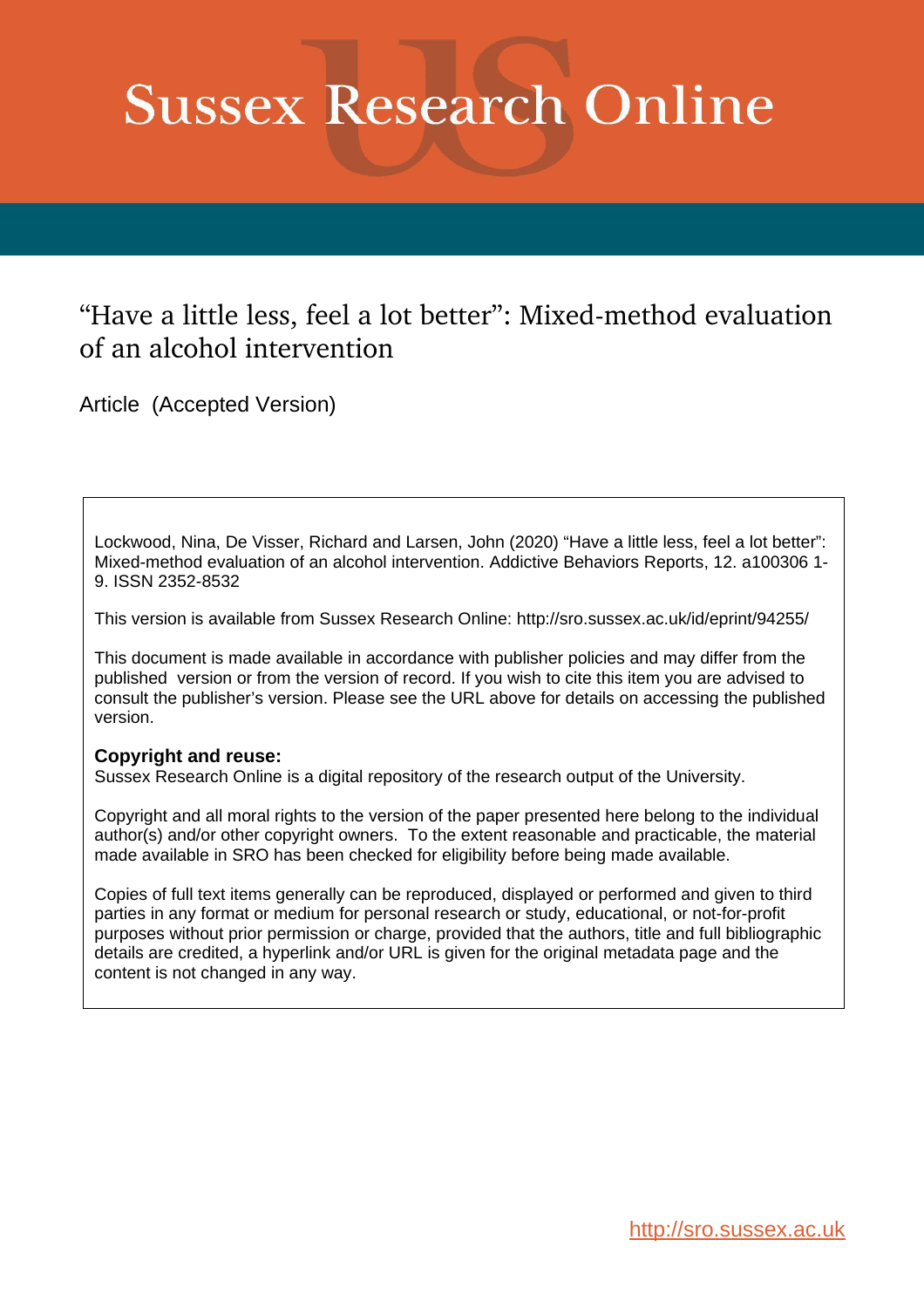# **Sussex Research Online**

# "Have a little less, feel a lot better": Mixed-method evaluation of an alcohol intervention

Article (Accepted Version)

Lockwood, Nina, De Visser, Richard and Larsen, John (2020) "Have a little less, feel a lot better": Mixed-method evaluation of an alcohol intervention. Addictive Behaviors Reports, 12. a100306 1- 9. ISSN 2352-8532

This version is available from Sussex Research Online: http://sro.sussex.ac.uk/id/eprint/94255/

This document is made available in accordance with publisher policies and may differ from the published version or from the version of record. If you wish to cite this item you are advised to consult the publisher's version. Please see the URL above for details on accessing the published version.

# **Copyright and reuse:**

Sussex Research Online is a digital repository of the research output of the University.

Copyright and all moral rights to the version of the paper presented here belong to the individual author(s) and/or other copyright owners. To the extent reasonable and practicable, the material made available in SRO has been checked for eligibility before being made available.

Copies of full text items generally can be reproduced, displayed or performed and given to third parties in any format or medium for personal research or study, educational, or not-for-profit purposes without prior permission or charge, provided that the authors, title and full bibliographic details are credited, a hyperlink and/or URL is given for the original metadata page and the content is not changed in any way.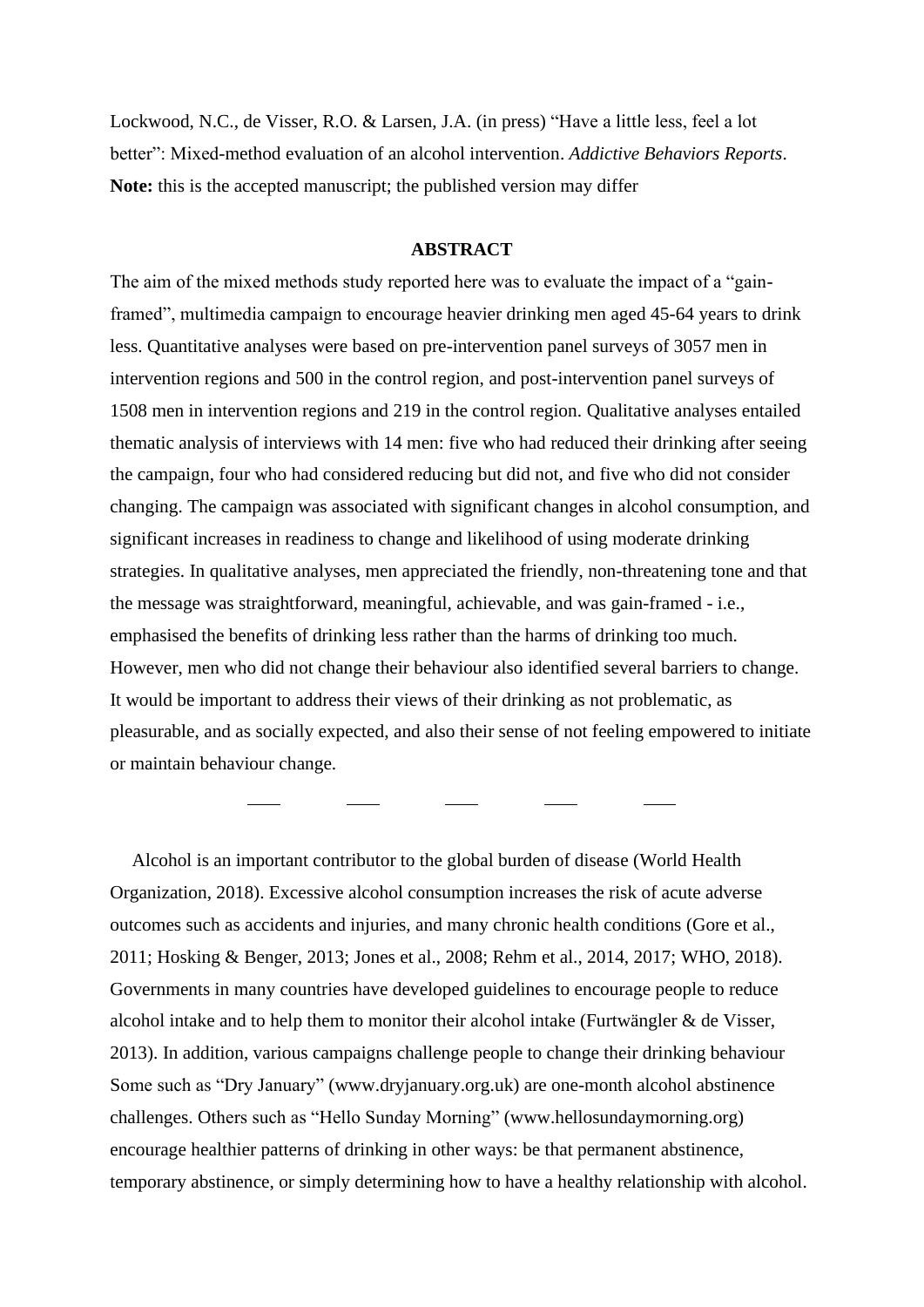Lockwood, N.C., de Visser, R.O. & Larsen, J.A. (in press) "Have a little less, feel a lot better": Mixed-method evaluation of an alcohol intervention. *Addictive Behaviors Reports*. **Note:** this is the accepted manuscript; the published version may differ

# **ABSTRACT**

The aim of the mixed methods study reported here was to evaluate the impact of a "gainframed", multimedia campaign to encourage heavier drinking men aged 45-64 years to drink less. Quantitative analyses were based on pre-intervention panel surveys of 3057 men in intervention regions and 500 in the control region, and post-intervention panel surveys of 1508 men in intervention regions and 219 in the control region. Qualitative analyses entailed thematic analysis of interviews with 14 men: five who had reduced their drinking after seeing the campaign, four who had considered reducing but did not, and five who did not consider changing. The campaign was associated with significant changes in alcohol consumption, and significant increases in readiness to change and likelihood of using moderate drinking strategies. In qualitative analyses, men appreciated the friendly, non-threatening tone and that the message was straightforward, meaningful, achievable, and was gain-framed - i.e., emphasised the benefits of drinking less rather than the harms of drinking too much. However, men who did not change their behaviour also identified several barriers to change. It would be important to address their views of their drinking as not problematic, as pleasurable, and as socially expected, and also their sense of not feeling empowered to initiate or maintain behaviour change.

Alcohol is an important contributor to the global burden of disease (World Health Organization, 2018). Excessive alcohol consumption increases the risk of acute adverse outcomes such as accidents and injuries, and many chronic health conditions (Gore et al., 2011; Hosking & Benger, 2013; Jones et al., 2008; Rehm et al., 2014, 2017; WHO, 2018). Governments in many countries have developed guidelines to encourage people to reduce alcohol intake and to help them to monitor their alcohol intake (Furtwängler & de Visser, 2013). In addition, various campaigns challenge people to change their drinking behaviour Some such as "Dry January" (www.dryjanuary.org.uk) are one-month alcohol abstinence challenges. Others such as "Hello Sunday Morning" (www.hellosundaymorning.org) encourage healthier patterns of drinking in other ways: be that permanent abstinence, temporary abstinence, or simply determining how to have a healthy relationship with alcohol.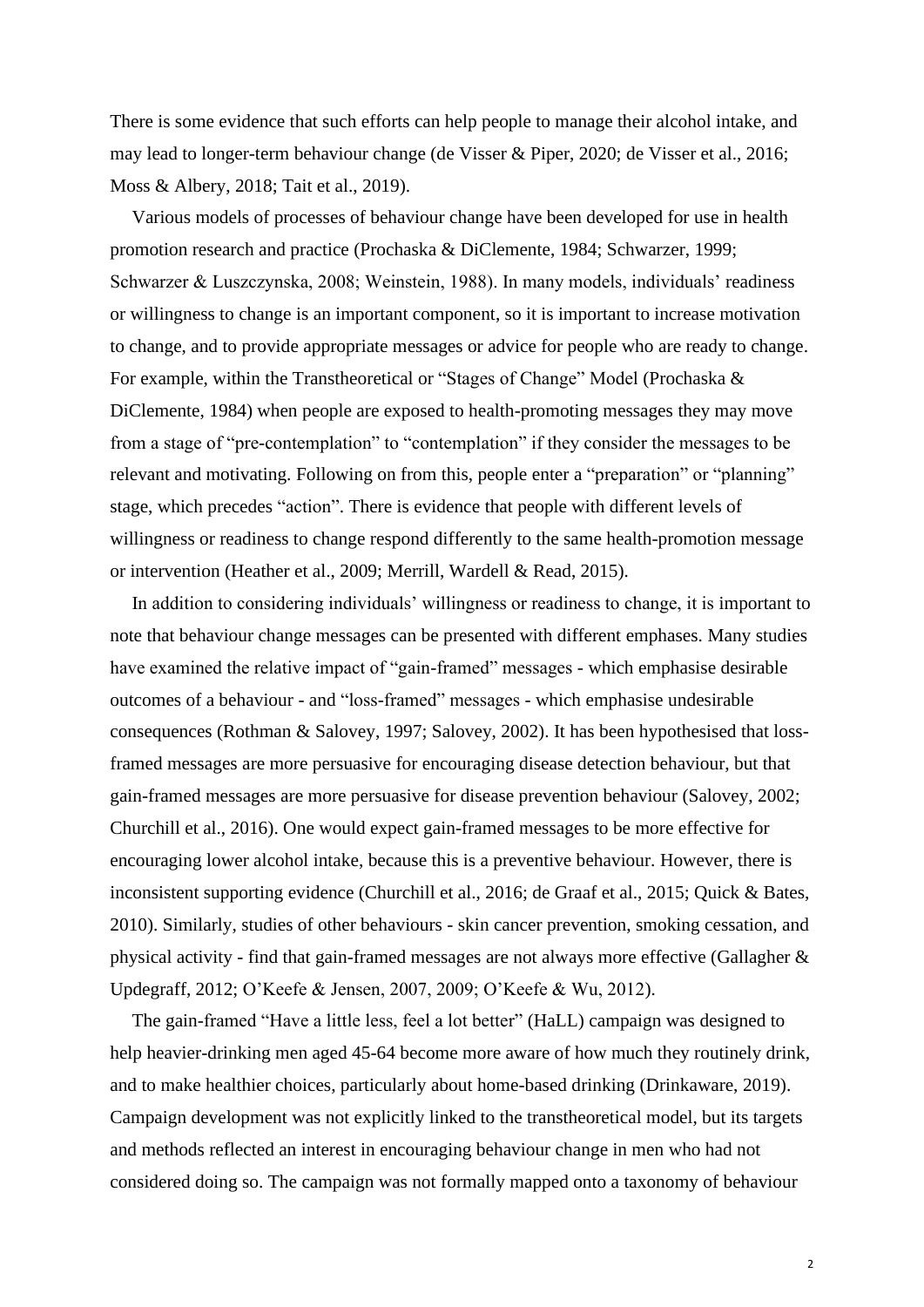There is some evidence that such efforts can help people to manage their alcohol intake, and may lead to longer-term behaviour change (de Visser & Piper, 2020; de Visser et al., 2016; Moss & Albery, 2018; Tait et al., 2019).

Various models of processes of behaviour change have been developed for use in health promotion research and practice (Prochaska & DiClemente, 1984; Schwarzer, 1999; Schwarzer & Luszczynska, 2008; Weinstein, 1988). In many models, individuals' readiness or willingness to change is an important component, so it is important to increase motivation to change, and to provide appropriate messages or advice for people who are ready to change. For example, within the Transtheoretical or "Stages of Change" Model (Prochaska & DiClemente, 1984) when people are exposed to health-promoting messages they may move from a stage of "pre-contemplation" to "contemplation" if they consider the messages to be relevant and motivating. Following on from this, people enter a "preparation" or "planning" stage, which precedes "action". There is evidence that people with different levels of willingness or readiness to change respond differently to the same health-promotion message or intervention (Heather et al., 2009; Merrill, Wardell & Read, 2015).

In addition to considering individuals' willingness or readiness to change, it is important to note that behaviour change messages can be presented with different emphases. Many studies have examined the relative impact of "gain-framed" messages - which emphasise desirable outcomes of a behaviour - and "loss-framed" messages - which emphasise undesirable consequences (Rothman & Salovey, 1997; Salovey, 2002). It has been hypothesised that lossframed messages are more persuasive for encouraging disease detection behaviour, but that gain-framed messages are more persuasive for disease prevention behaviour (Salovey, 2002; Churchill et al., 2016). One would expect gain-framed messages to be more effective for encouraging lower alcohol intake, because this is a preventive behaviour. However, there is inconsistent supporting evidence (Churchill et al., 2016; de Graaf et al., 2015; Quick & Bates, 2010). Similarly, studies of other behaviours - skin cancer prevention, smoking cessation, and physical activity - find that gain-framed messages are not always more effective (Gallagher & Updegraff, 2012; O'Keefe & Jensen, 2007, 2009; O'Keefe & Wu, 2012).

The gain-framed "Have a little less, feel a lot better" (HaLL) campaign was designed to help heavier-drinking men aged 45-64 become more aware of how much they routinely drink, and to make healthier choices, particularly about home-based drinking (Drinkaware, 2019). Campaign development was not explicitly linked to the transtheoretical model, but its targets and methods reflected an interest in encouraging behaviour change in men who had not considered doing so. The campaign was not formally mapped onto a taxonomy of behaviour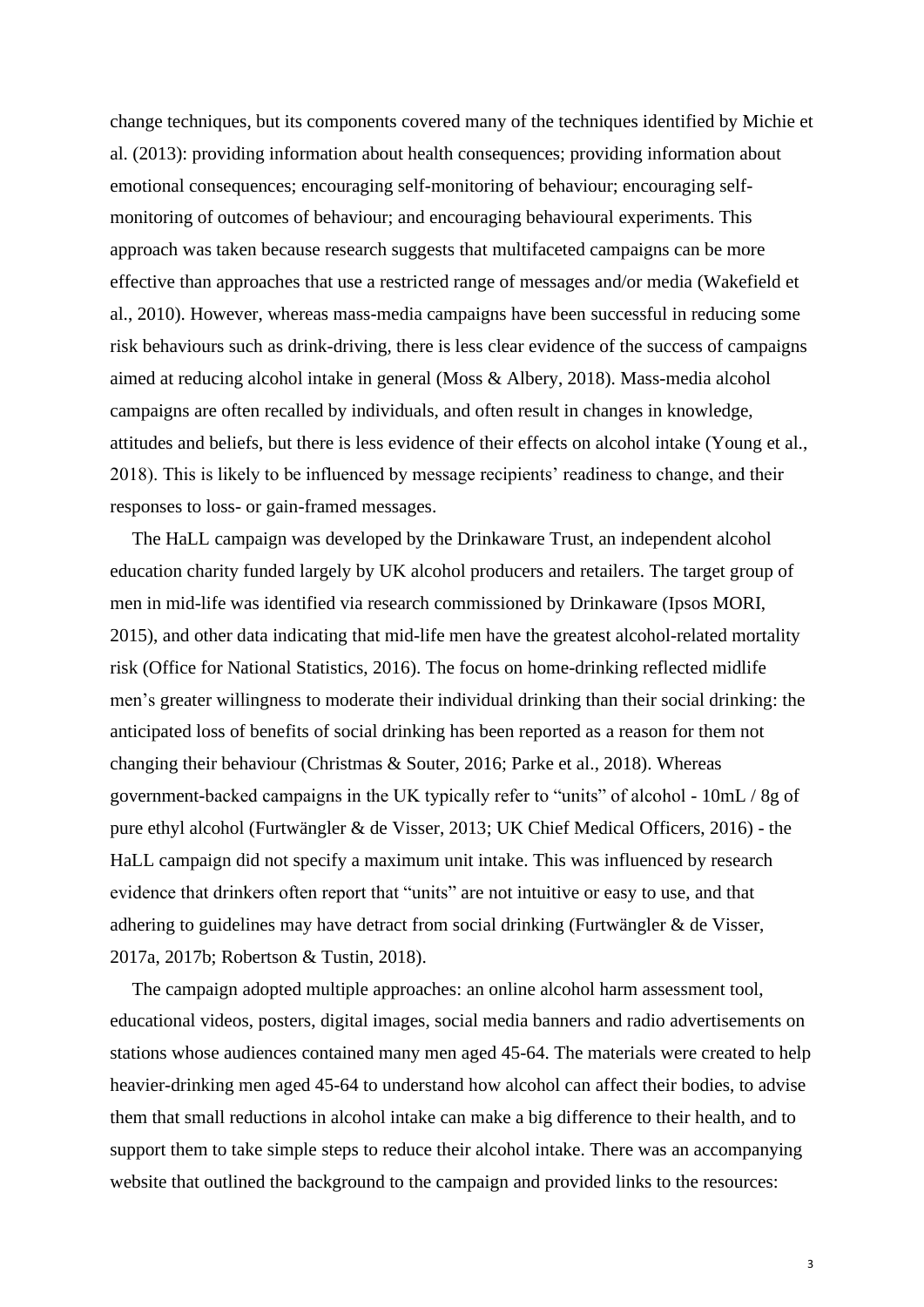change techniques, but its components covered many of the techniques identified by Michie et al. (2013): providing information about health consequences; providing information about emotional consequences; encouraging self-monitoring of behaviour; encouraging selfmonitoring of outcomes of behaviour; and encouraging behavioural experiments. This approach was taken because research suggests that multifaceted campaigns can be more effective than approaches that use a restricted range of messages and/or media (Wakefield et al., 2010). However, whereas mass-media campaigns have been successful in reducing some risk behaviours such as drink-driving, there is less clear evidence of the success of campaigns aimed at reducing alcohol intake in general (Moss & Albery, 2018). Mass-media alcohol campaigns are often recalled by individuals, and often result in changes in knowledge, attitudes and beliefs, but there is less evidence of their effects on alcohol intake (Young et al., 2018). This is likely to be influenced by message recipients' readiness to change, and their responses to loss- or gain-framed messages.

The HaLL campaign was developed by the Drinkaware Trust, an independent alcohol education charity funded largely by UK alcohol producers and retailers. The target group of men in mid-life was identified via research commissioned by Drinkaware (Ipsos MORI, 2015), and other data indicating that mid-life men have the greatest alcohol-related mortality risk (Office for National Statistics, 2016). The focus on home-drinking reflected midlife men's greater willingness to moderate their individual drinking than their social drinking: the anticipated loss of benefits of social drinking has been reported as a reason for them not changing their behaviour (Christmas & Souter, 2016; Parke et al., 2018). Whereas government-backed campaigns in the UK typically refer to "units" of alcohol - 10mL / 8g of pure ethyl alcohol (Furtwängler & de Visser, 2013; UK Chief Medical Officers, 2016) - the HaLL campaign did not specify a maximum unit intake. This was influenced by research evidence that drinkers often report that "units" are not intuitive or easy to use, and that adhering to guidelines may have detract from social drinking (Furtwängler & de Visser, 2017a, 2017b; Robertson & Tustin, 2018).

The campaign adopted multiple approaches: an online alcohol harm assessment tool, educational videos, posters, digital images, social media banners and radio advertisements on stations whose audiences contained many men aged 45-64. The materials were created to help heavier-drinking men aged 45-64 to understand how alcohol can affect their bodies, to advise them that small reductions in alcohol intake can make a big difference to their health, and to support them to take simple steps to reduce their alcohol intake. There was an accompanying website that outlined the background to the campaign and provided links to the resources: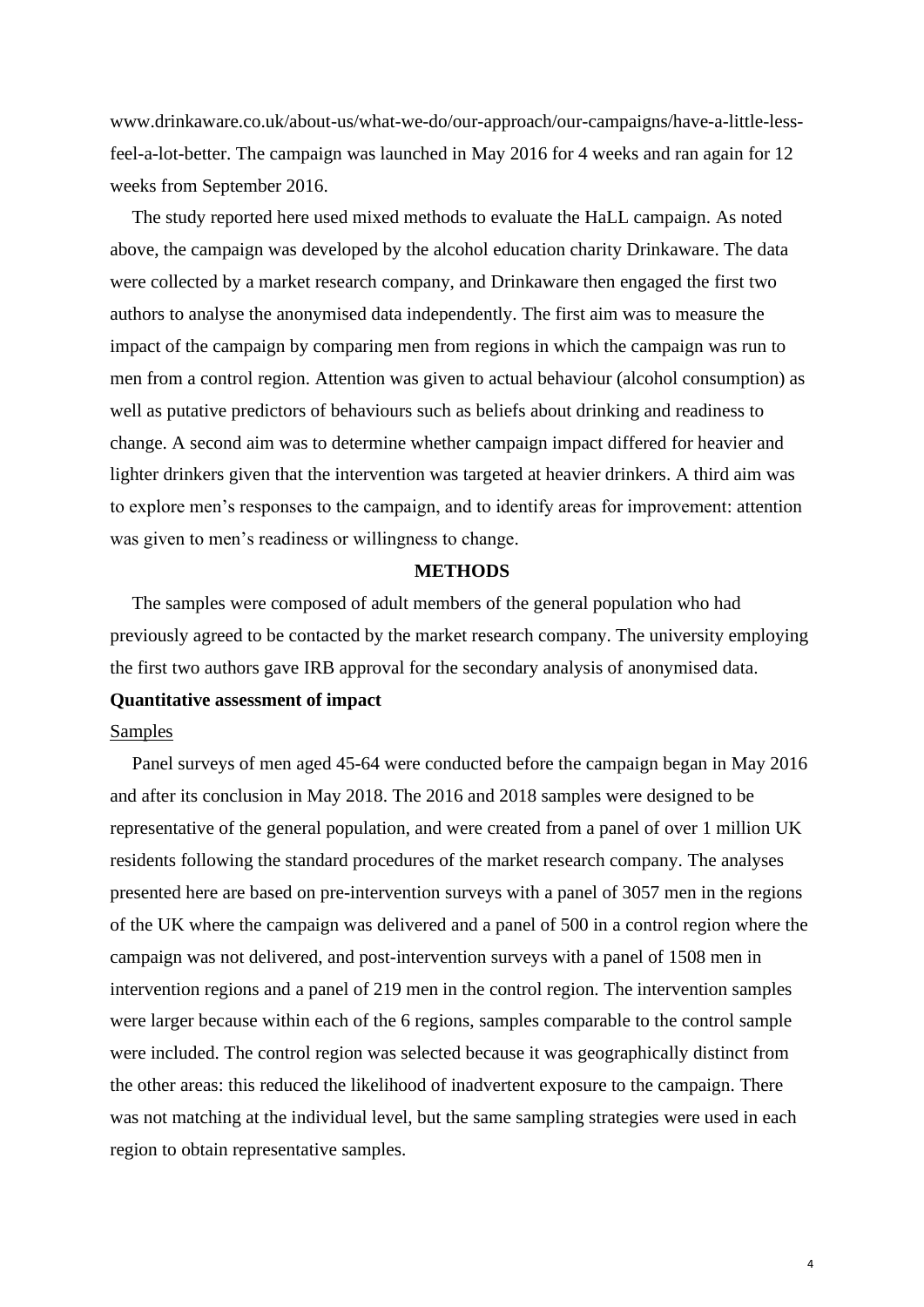www.drinkaware.co.uk/about-us/what-we-do/our-approach/our-campaigns/have-a-little-lessfeel-a-lot-better. The campaign was launched in May 2016 for 4 weeks and ran again for 12 weeks from September 2016.

The study reported here used mixed methods to evaluate the HaLL campaign. As noted above, the campaign was developed by the alcohol education charity Drinkaware. The data were collected by a market research company, and Drinkaware then engaged the first two authors to analyse the anonymised data independently. The first aim was to measure the impact of the campaign by comparing men from regions in which the campaign was run to men from a control region. Attention was given to actual behaviour (alcohol consumption) as well as putative predictors of behaviours such as beliefs about drinking and readiness to change. A second aim was to determine whether campaign impact differed for heavier and lighter drinkers given that the intervention was targeted at heavier drinkers. A third aim was to explore men's responses to the campaign, and to identify areas for improvement: attention was given to men's readiness or willingness to change.

#### **METHODS**

The samples were composed of adult members of the general population who had previously agreed to be contacted by the market research company. The university employing the first two authors gave IRB approval for the secondary analysis of anonymised data.

## **Quantitative assessment of impact**

#### Samples

Panel surveys of men aged 45-64 were conducted before the campaign began in May 2016 and after its conclusion in May 2018. The 2016 and 2018 samples were designed to be representative of the general population, and were created from a panel of over 1 million UK residents following the standard procedures of the market research company. The analyses presented here are based on pre-intervention surveys with a panel of 3057 men in the regions of the UK where the campaign was delivered and a panel of 500 in a control region where the campaign was not delivered, and post-intervention surveys with a panel of 1508 men in intervention regions and a panel of 219 men in the control region. The intervention samples were larger because within each of the 6 regions, samples comparable to the control sample were included. The control region was selected because it was geographically distinct from the other areas: this reduced the likelihood of inadvertent exposure to the campaign. There was not matching at the individual level, but the same sampling strategies were used in each region to obtain representative samples.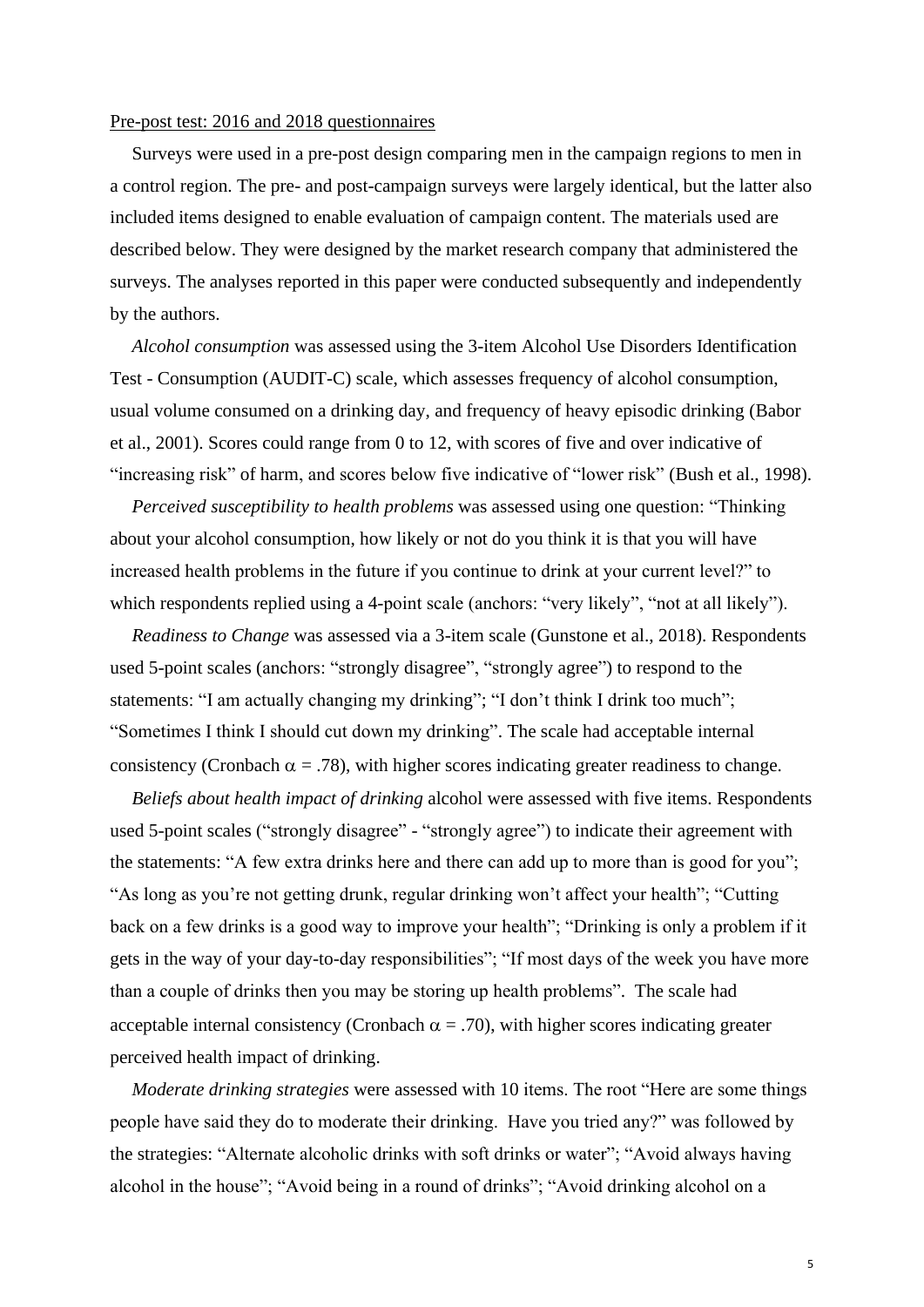#### Pre-post test: 2016 and 2018 questionnaires

Surveys were used in a pre-post design comparing men in the campaign regions to men in a control region. The pre- and post-campaign surveys were largely identical, but the latter also included items designed to enable evaluation of campaign content. The materials used are described below. They were designed by the market research company that administered the surveys. The analyses reported in this paper were conducted subsequently and independently by the authors.

*Alcohol consumption* was assessed using the 3-item Alcohol Use Disorders Identification Test - Consumption (AUDIT-C) scale, which assesses frequency of alcohol consumption, usual volume consumed on a drinking day, and frequency of heavy episodic drinking (Babor et al., 2001). Scores could range from 0 to 12, with scores of five and over indicative of "increasing risk" of harm, and scores below five indicative of "lower risk" (Bush et al., 1998).

*Perceived susceptibility to health problems* was assessed using one question: "Thinking about your alcohol consumption, how likely or not do you think it is that you will have increased health problems in the future if you continue to drink at your current level?" to which respondents replied using a 4-point scale (anchors: "very likely", "not at all likely").

*Readiness to Change* was assessed via a 3-item scale (Gunstone et al., 2018). Respondents used 5-point scales (anchors: "strongly disagree", "strongly agree") to respond to the statements: "I am actually changing my drinking"; "I don't think I drink too much"; "Sometimes I think I should cut down my drinking". The scale had acceptable internal consistency (Cronbach  $\alpha = .78$ ), with higher scores indicating greater readiness to change.

*Beliefs about health impact of drinking* alcohol were assessed with five items. Respondents used 5-point scales ("strongly disagree" - "strongly agree") to indicate their agreement with the statements: "A few extra drinks here and there can add up to more than is good for you"; "As long as you're not getting drunk, regular drinking won't affect your health"; "Cutting back on a few drinks is a good way to improve your health"; "Drinking is only a problem if it gets in the way of your day-to-day responsibilities"; "If most days of the week you have more than a couple of drinks then you may be storing up health problems". The scale had acceptable internal consistency (Cronbach  $\alpha = .70$ ), with higher scores indicating greater perceived health impact of drinking.

*Moderate drinking strategies* were assessed with 10 items. The root "Here are some things people have said they do to moderate their drinking. Have you tried any?" was followed by the strategies: "Alternate alcoholic drinks with soft drinks or water"; "Avoid always having alcohol in the house"; "Avoid being in a round of drinks"; "Avoid drinking alcohol on a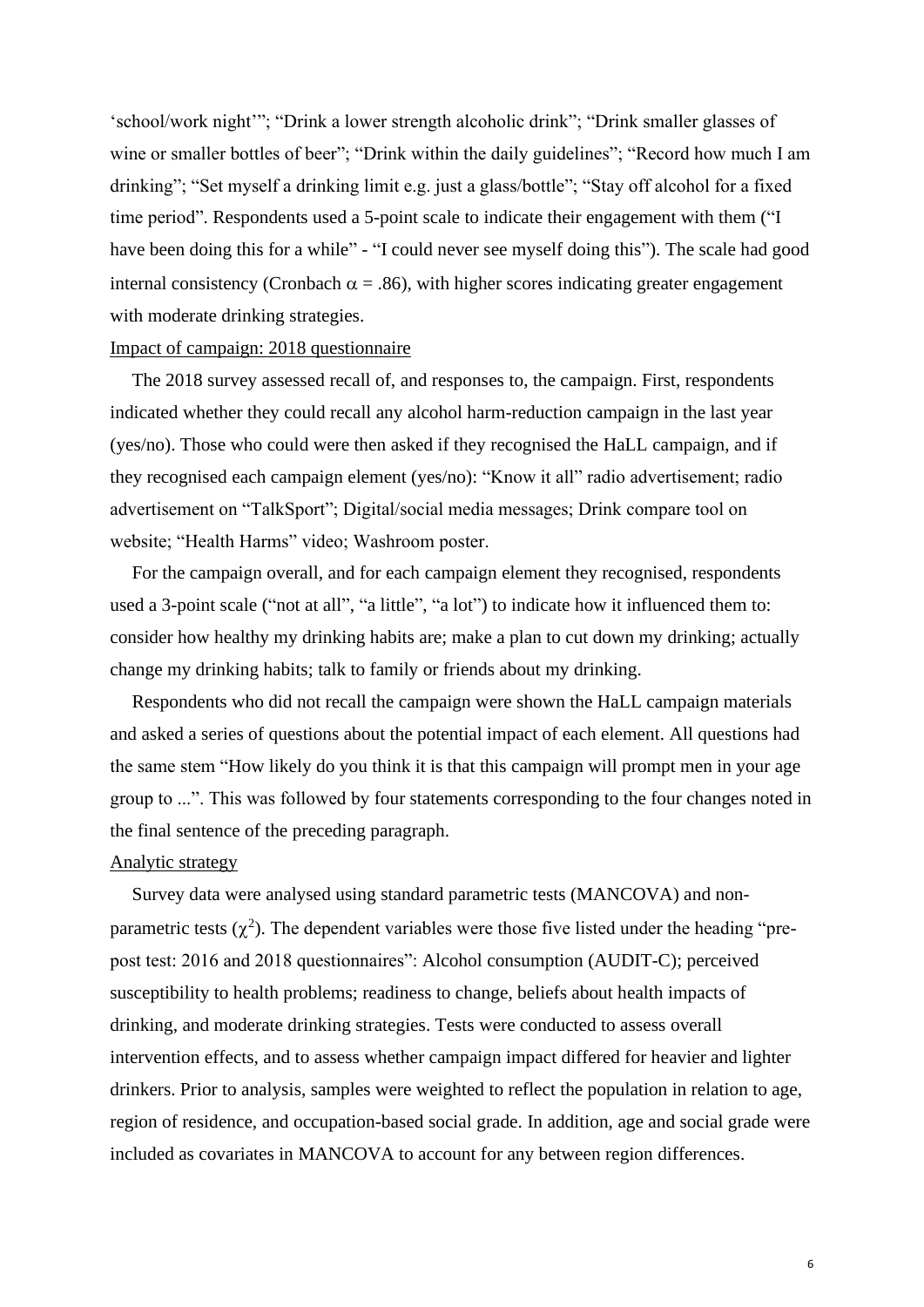'school/work night'"; "Drink a lower strength alcoholic drink"; "Drink smaller glasses of wine or smaller bottles of beer"; "Drink within the daily guidelines"; "Record how much I am drinking"; "Set myself a drinking limit e.g. just a glass/bottle"; "Stay off alcohol for a fixed time period". Respondents used a 5-point scale to indicate their engagement with them ("I have been doing this for a while" - "I could never see myself doing this"). The scale had good internal consistency (Cronbach  $\alpha = .86$ ), with higher scores indicating greater engagement with moderate drinking strategies.

#### Impact of campaign: 2018 questionnaire

The 2018 survey assessed recall of, and responses to, the campaign. First, respondents indicated whether they could recall any alcohol harm-reduction campaign in the last year (yes/no). Those who could were then asked if they recognised the HaLL campaign, and if they recognised each campaign element (yes/no): "Know it all" radio advertisement; radio advertisement on "TalkSport"; Digital/social media messages; Drink compare tool on website; "Health Harms" video; Washroom poster.

For the campaign overall, and for each campaign element they recognised, respondents used a 3-point scale ("not at all", "a little", "a lot") to indicate how it influenced them to: consider how healthy my drinking habits are; make a plan to cut down my drinking; actually change my drinking habits; talk to family or friends about my drinking.

Respondents who did not recall the campaign were shown the HaLL campaign materials and asked a series of questions about the potential impact of each element. All questions had the same stem "How likely do you think it is that this campaign will prompt men in your age group to ...". This was followed by four statements corresponding to the four changes noted in the final sentence of the preceding paragraph.

#### Analytic strategy

Survey data were analysed using standard parametric tests (MANCOVA) and nonparametric tests  $(\chi^2)$ . The dependent variables were those five listed under the heading "prepost test: 2016 and 2018 questionnaires": Alcohol consumption (AUDIT-C); perceived susceptibility to health problems; readiness to change, beliefs about health impacts of drinking, and moderate drinking strategies. Tests were conducted to assess overall intervention effects, and to assess whether campaign impact differed for heavier and lighter drinkers. Prior to analysis, samples were weighted to reflect the population in relation to age, region of residence, and occupation-based social grade. In addition, age and social grade were included as covariates in MANCOVA to account for any between region differences.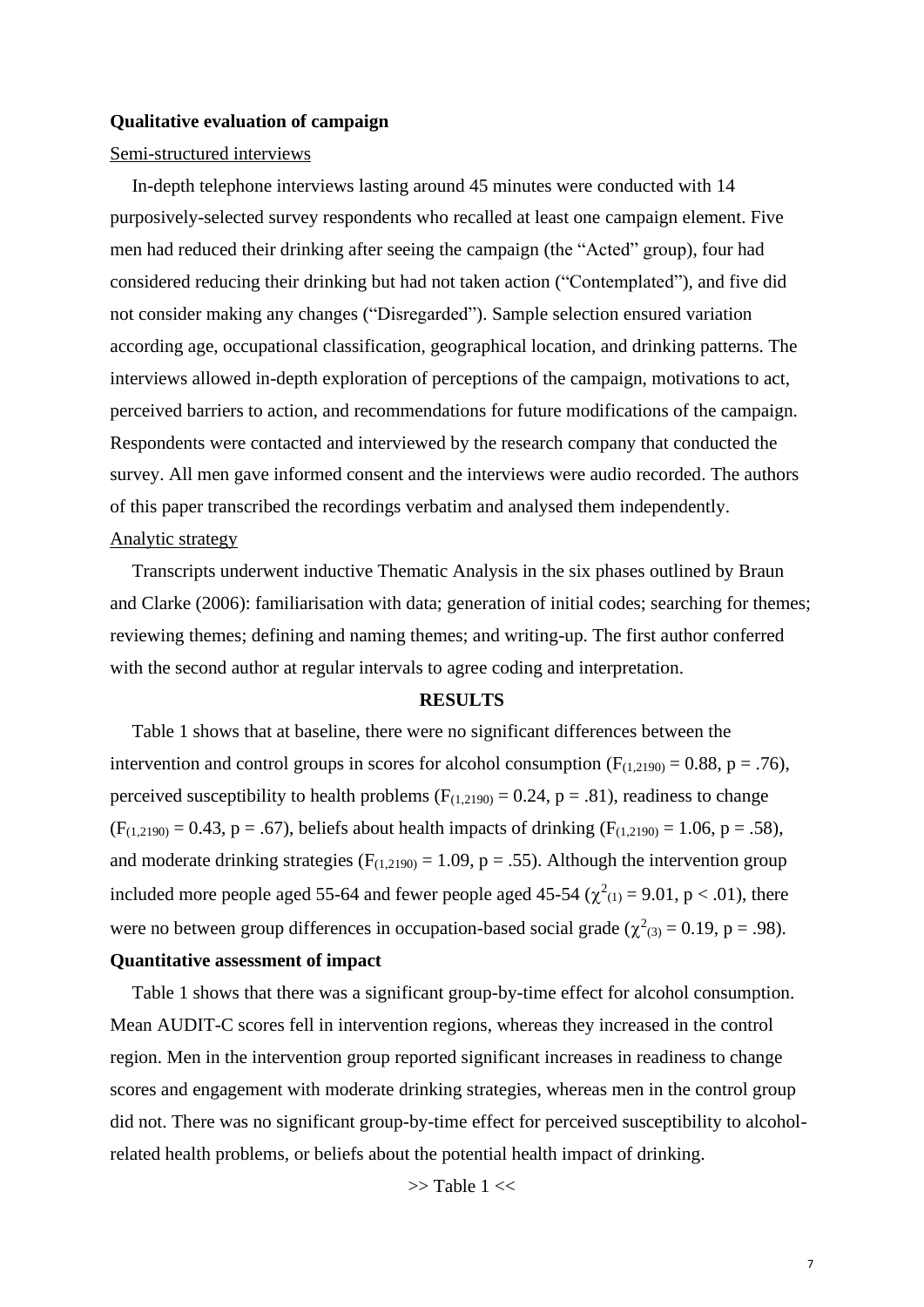#### **Qualitative evaluation of campaign**

#### Semi-structured interviews

In-depth telephone interviews lasting around 45 minutes were conducted with 14 purposively-selected survey respondents who recalled at least one campaign element. Five men had reduced their drinking after seeing the campaign (the "Acted" group), four had considered reducing their drinking but had not taken action ("Contemplated"), and five did not consider making any changes ("Disregarded"). Sample selection ensured variation according age, occupational classification, geographical location, and drinking patterns. The interviews allowed in-depth exploration of perceptions of the campaign, motivations to act, perceived barriers to action, and recommendations for future modifications of the campaign. Respondents were contacted and interviewed by the research company that conducted the survey. All men gave informed consent and the interviews were audio recorded. The authors of this paper transcribed the recordings verbatim and analysed them independently. Analytic strategy

Transcripts underwent inductive Thematic Analysis in the six phases outlined by Braun and Clarke (2006): familiarisation with data; generation of initial codes; searching for themes; reviewing themes; defining and naming themes; and writing-up. The first author conferred with the second author at regular intervals to agree coding and interpretation.

#### **RESULTS**

Table 1 shows that at baseline, there were no significant differences between the intervention and control groups in scores for alcohol consumption  $(F_{(1,2190)} = 0.88, p = .76)$ , perceived susceptibility to health problems ( $F_{(1,2190)} = 0.24$ ,  $p = .81$ ), readiness to change  $(F_{(1,2190)} = 0.43, p = .67)$ , beliefs about health impacts of drinking  $(F_{(1,2190)} = 1.06, p = .58)$ , and moderate drinking strategies ( $F_{(1,2190)} = 1.09$ , p = .55). Although the intervention group included more people aged 55-64 and fewer people aged 45-54 ( $\chi^2$ <sub>(1)</sub> = 9.01, p < .01), there were no between group differences in occupation-based social grade ( $\chi^2$ <sub>(3)</sub> = 0.19, p = .98).

# **Quantitative assessment of impact**

Table 1 shows that there was a significant group-by-time effect for alcohol consumption. Mean AUDIT-C scores fell in intervention regions, whereas they increased in the control region. Men in the intervention group reported significant increases in readiness to change scores and engagement with moderate drinking strategies, whereas men in the control group did not. There was no significant group-by-time effect for perceived susceptibility to alcoholrelated health problems, or beliefs about the potential health impact of drinking.

>> Table 1 <<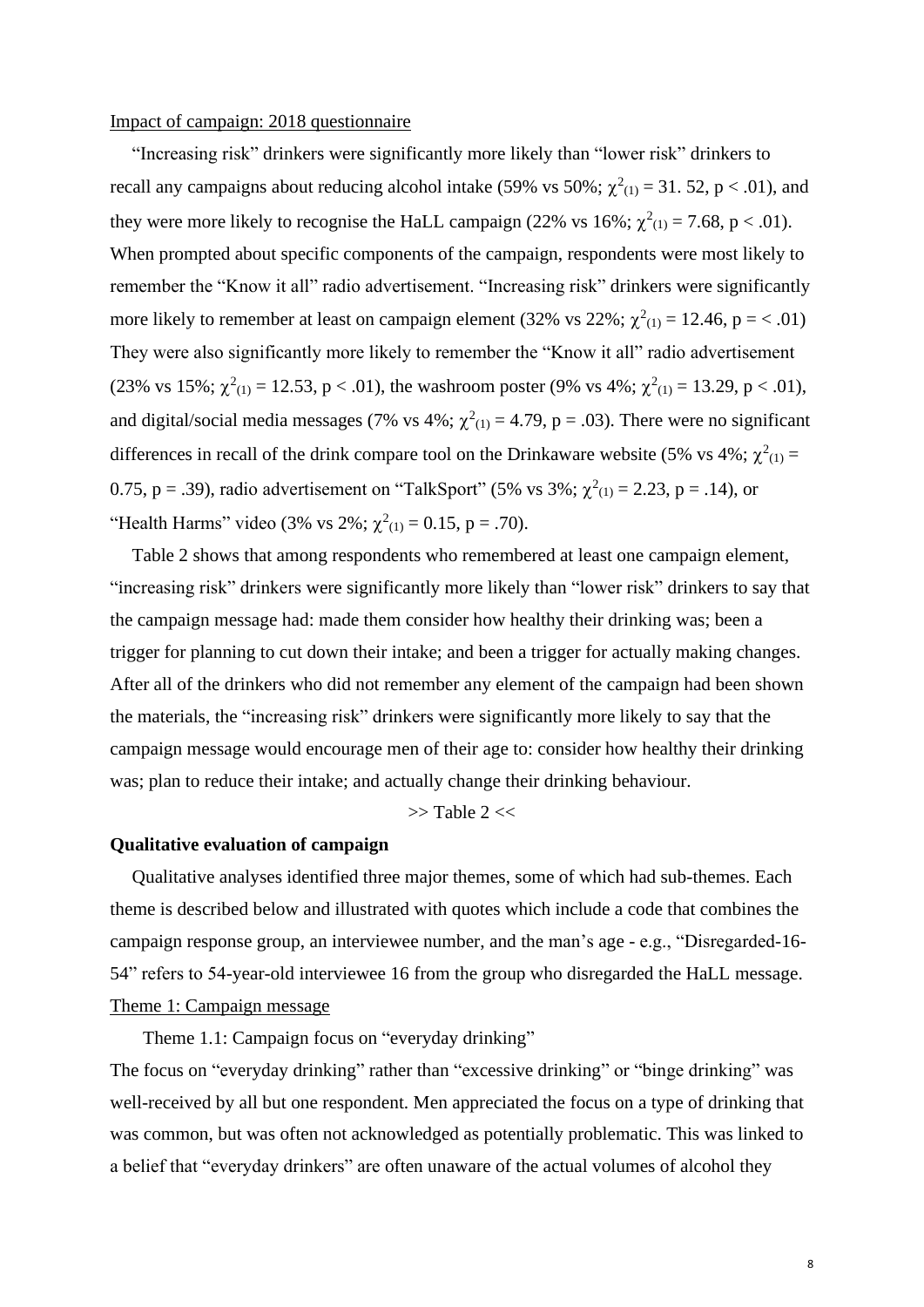#### Impact of campaign: 2018 questionnaire

"Increasing risk" drinkers were significantly more likely than "lower risk" drinkers to recall any campaigns about reducing alcohol intake (59% vs 50%;  $\chi^2$ <sub>(1)</sub> = 31.52, p < .01), and they were more likely to recognise the HaLL campaign (22% vs 16%;  $\chi^2(i) = 7.68$ , p < .01). When prompted about specific components of the campaign, respondents were most likely to remember the "Know it all" radio advertisement. "Increasing risk" drinkers were significantly more likely to remember at least on campaign element (32% vs 22%;  $\chi^2(i) = 12.46$ , p = < .01) They were also significantly more likely to remember the "Know it all" radio advertisement (23% vs 15%;  $\chi^2_{(1)} = 12.53$ , p < .01), the washroom poster (9% vs 4%;  $\chi^2_{(1)} = 13.29$ , p < .01), and digital/social media messages (7% vs 4%;  $\chi^2(1) = 4.79$ , p = .03). There were no significant differences in recall of the drink compare tool on the Drinkaware website (5% vs 4%;  $\chi^2$ <sub>(1)</sub> = 0.75, p = .39), radio advertisement on "TalkSport" (5% vs 3%;  $\chi^2(i) = 2.23$ , p = .14), or "Health Harms" video (3% vs 2%;  $\chi^2(i) = 0.15$ , p = .70).

Table 2 shows that among respondents who remembered at least one campaign element, "increasing risk" drinkers were significantly more likely than "lower risk" drinkers to say that the campaign message had: made them consider how healthy their drinking was; been a trigger for planning to cut down their intake; and been a trigger for actually making changes. After all of the drinkers who did not remember any element of the campaign had been shown the materials, the "increasing risk" drinkers were significantly more likely to say that the campaign message would encourage men of their age to: consider how healthy their drinking was; plan to reduce their intake; and actually change their drinking behaviour.

>> Table 2 <<

#### **Qualitative evaluation of campaign**

Qualitative analyses identified three major themes, some of which had sub-themes. Each theme is described below and illustrated with quotes which include a code that combines the campaign response group, an interviewee number, and the man's age - e.g., "Disregarded-16- 54" refers to 54-year-old interviewee 16 from the group who disregarded the HaLL message. Theme 1: Campaign message

Theme 1.1: Campaign focus on "everyday drinking"

The focus on "everyday drinking" rather than "excessive drinking" or "binge drinking" was well-received by all but one respondent. Men appreciated the focus on a type of drinking that was common, but was often not acknowledged as potentially problematic. This was linked to a belief that "everyday drinkers" are often unaware of the actual volumes of alcohol they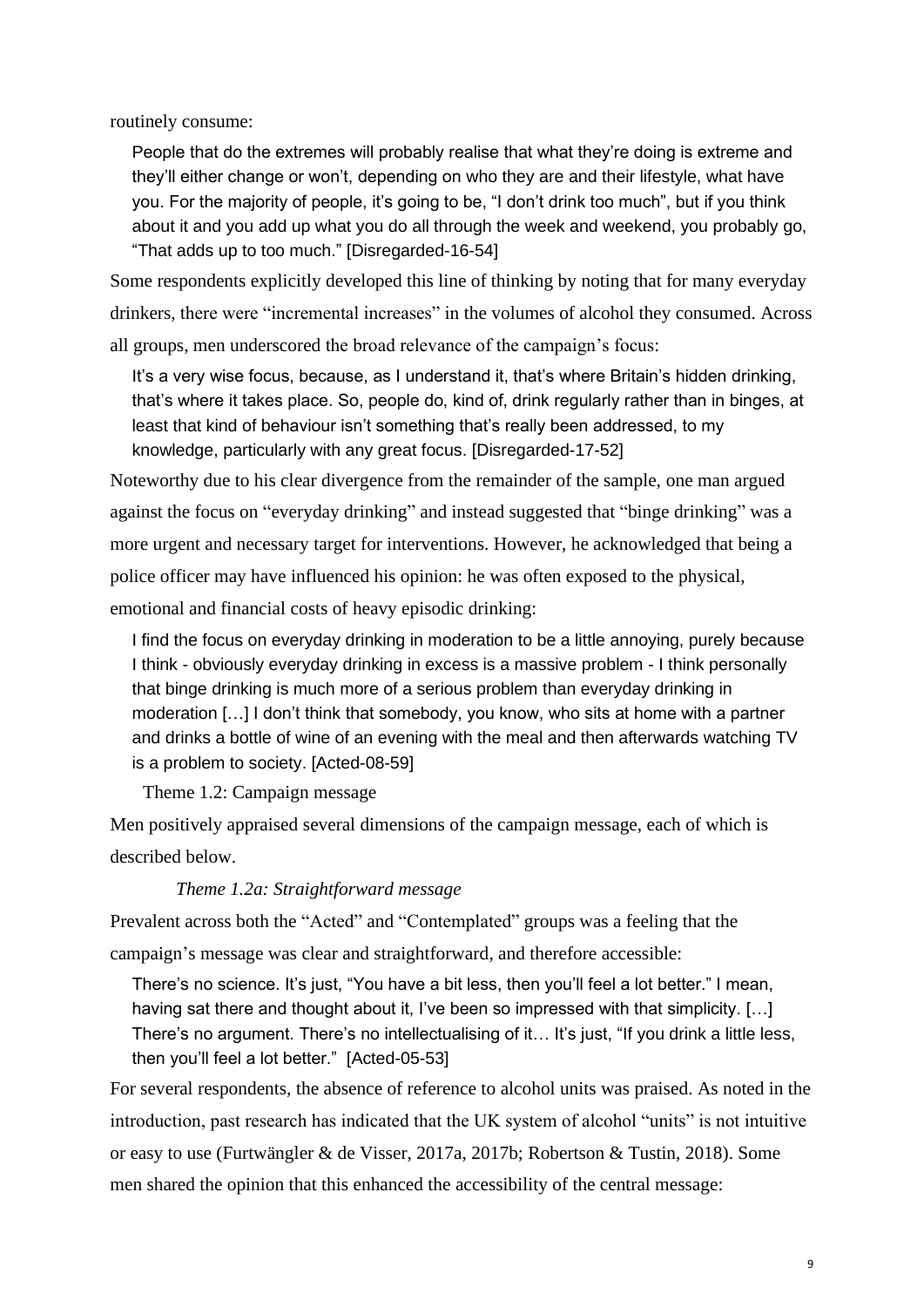routinely consume:

People that do the extremes will probably realise that what they're doing is extreme and they'll either change or won't, depending on who they are and their lifestyle, what have you. For the majority of people, it's going to be, "I don't drink too much", but if you think about it and you add up what you do all through the week and weekend, you probably go, "That adds up to too much." [Disregarded-16-54]

Some respondents explicitly developed this line of thinking by noting that for many everyday drinkers, there were "incremental increases" in the volumes of alcohol they consumed. Across all groups, men underscored the broad relevance of the campaign's focus:

It's a very wise focus, because, as I understand it, that's where Britain's hidden drinking, that's where it takes place. So, people do, kind of, drink regularly rather than in binges, at least that kind of behaviour isn't something that's really been addressed, to my knowledge, particularly with any great focus. [Disregarded-17-52]

Noteworthy due to his clear divergence from the remainder of the sample, one man argued against the focus on "everyday drinking" and instead suggested that "binge drinking" was a more urgent and necessary target for interventions. However, he acknowledged that being a police officer may have influenced his opinion: he was often exposed to the physical, emotional and financial costs of heavy episodic drinking:

I find the focus on everyday drinking in moderation to be a little annoying, purely because I think - obviously everyday drinking in excess is a massive problem - I think personally that binge drinking is much more of a serious problem than everyday drinking in moderation […] I don't think that somebody, you know, who sits at home with a partner and drinks a bottle of wine of an evening with the meal and then afterwards watching TV is a problem to society. [Acted-08-59]

Theme 1.2: Campaign message

Men positively appraised several dimensions of the campaign message, each of which is described below.

# *Theme 1.2a: Straightforward message*

Prevalent across both the "Acted" and "Contemplated" groups was a feeling that the campaign's message was clear and straightforward, and therefore accessible:

There's no science. It's just, "You have a bit less, then you'll feel a lot better." I mean, having sat there and thought about it, I've been so impressed with that simplicity. [...] There's no argument. There's no intellectualising of it… It's just, "If you drink a little less, then you'll feel a lot better." [Acted-05-53]

For several respondents, the absence of reference to alcohol units was praised. As noted in the introduction, past research has indicated that the UK system of alcohol "units" is not intuitive or easy to use (Furtwängler & de Visser, 2017a, 2017b; Robertson & Tustin, 2018). Some men shared the opinion that this enhanced the accessibility of the central message: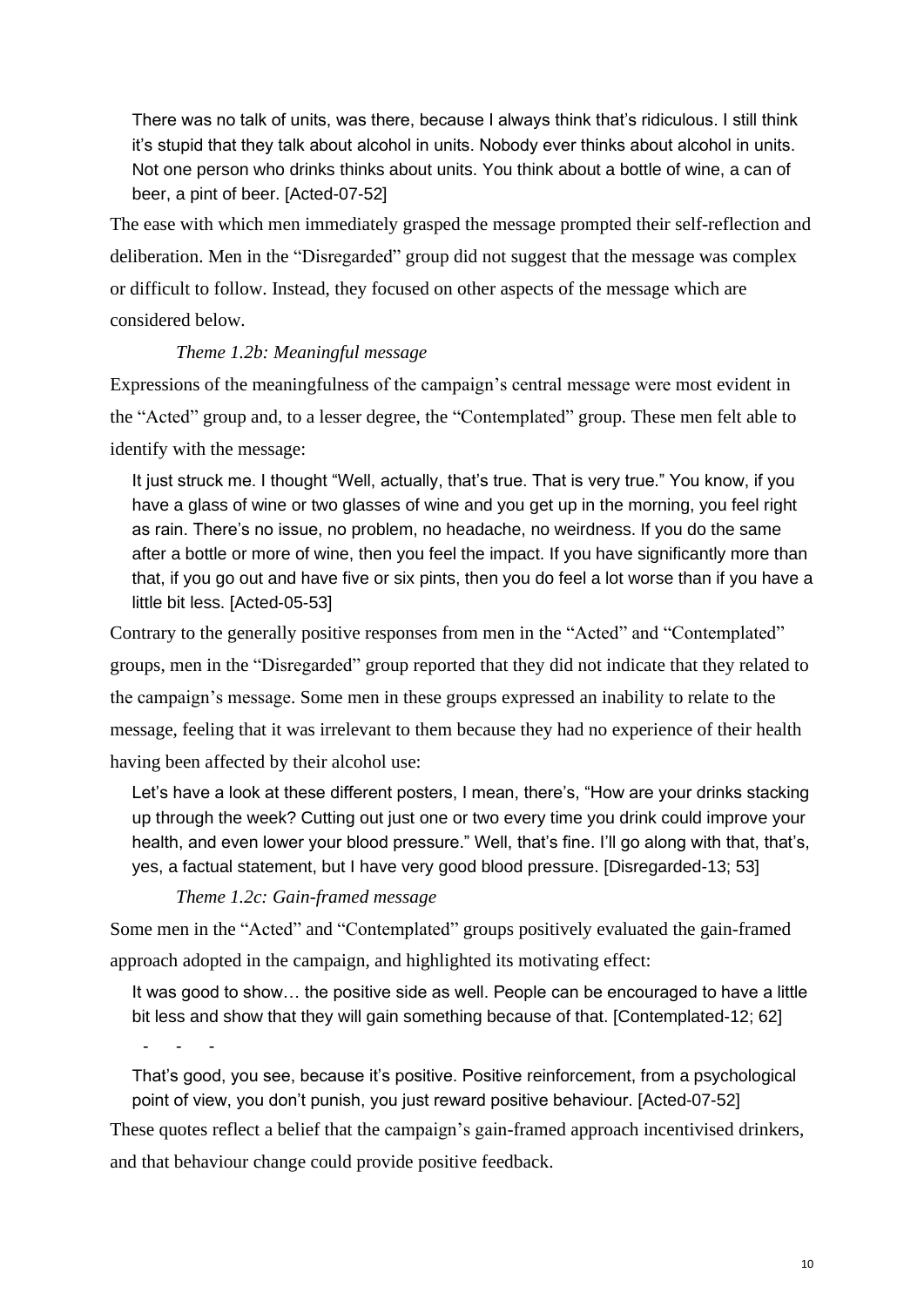There was no talk of units, was there, because I always think that's ridiculous. I still think it's stupid that they talk about alcohol in units. Nobody ever thinks about alcohol in units. Not one person who drinks thinks about units. You think about a bottle of wine, a can of beer, a pint of beer. [Acted-07-52]

The ease with which men immediately grasped the message prompted their self-reflection and deliberation. Men in the "Disregarded" group did not suggest that the message was complex or difficult to follow. Instead, they focused on other aspects of the message which are considered below.

# *Theme 1.2b: Meaningful message*

Expressions of the meaningfulness of the campaign's central message were most evident in the "Acted" group and, to a lesser degree, the "Contemplated" group. These men felt able to identify with the message:

It just struck me. I thought "Well, actually, that's true. That is very true." You know, if you have a glass of wine or two glasses of wine and you get up in the morning, you feel right as rain. There's no issue, no problem, no headache, no weirdness. If you do the same after a bottle or more of wine, then you feel the impact. If you have significantly more than that, if you go out and have five or six pints, then you do feel a lot worse than if you have a little bit less. [Acted-05-53]

Contrary to the generally positive responses from men in the "Acted" and "Contemplated" groups, men in the "Disregarded" group reported that they did not indicate that they related to the campaign's message. Some men in these groups expressed an inability to relate to the message, feeling that it was irrelevant to them because they had no experience of their health having been affected by their alcohol use:

Let's have a look at these different posters, I mean, there's, "How are your drinks stacking up through the week? Cutting out just one or two every time you drink could improve your health, and even lower your blood pressure." Well, that's fine. I'll go along with that, that's, yes, a factual statement, but I have very good blood pressure. [Disregarded-13; 53]

# *Theme 1.2c: Gain-framed message*

Some men in the "Acted" and "Contemplated" groups positively evaluated the gain-framed approach adopted in the campaign, and highlighted its motivating effect:

It was good to show… the positive side as well. People can be encouraged to have a little bit less and show that they will gain something because of that. [Contemplated-12; 62]

 $-$ 

That's good, you see, because it's positive. Positive reinforcement, from a psychological point of view, you don't punish, you just reward positive behaviour. [Acted-07-52]

These quotes reflect a belief that the campaign's gain-framed approach incentivised drinkers, and that behaviour change could provide positive feedback.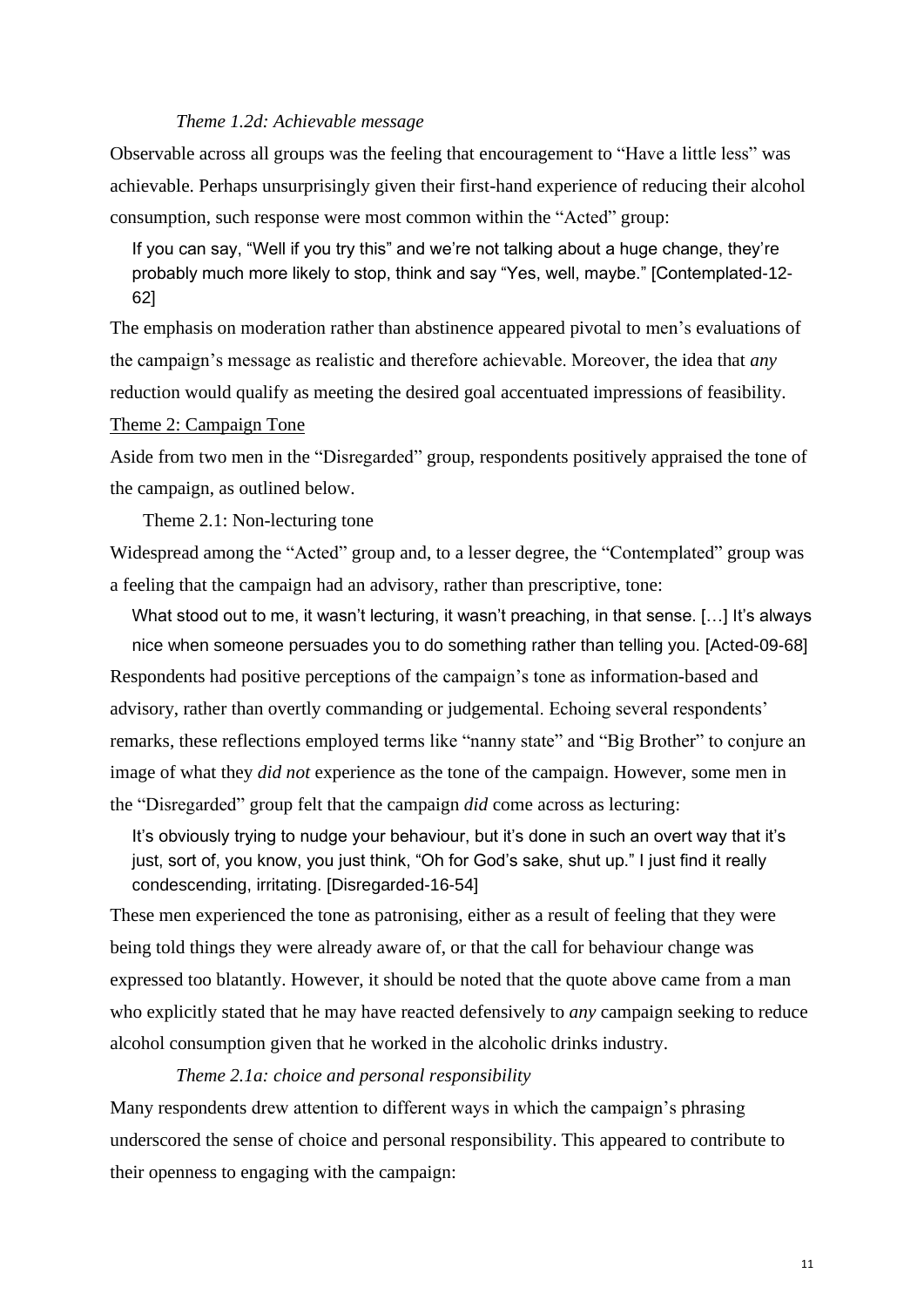#### *Theme 1.2d: Achievable message*

Observable across all groups was the feeling that encouragement to "Have a little less" was achievable. Perhaps unsurprisingly given their first-hand experience of reducing their alcohol consumption, such response were most common within the "Acted" group:

If you can say, "Well if you try this" and we're not talking about a huge change, they're probably much more likely to stop, think and say "Yes, well, maybe." [Contemplated-12- 62]

The emphasis on moderation rather than abstinence appeared pivotal to men's evaluations of the campaign's message as realistic and therefore achievable. Moreover, the idea that *any* reduction would qualify as meeting the desired goal accentuated impressions of feasibility. Theme 2: Campaign Tone

Aside from two men in the "Disregarded" group, respondents positively appraised the tone of the campaign, as outlined below.

Theme 2.1: Non-lecturing tone

Widespread among the "Acted" group and, to a lesser degree, the "Contemplated" group was a feeling that the campaign had an advisory, rather than prescriptive, tone:

What stood out to me, it wasn't lecturing, it wasn't preaching, in that sense. [...] It's always nice when someone persuades you to do something rather than telling you. [Acted-09-68] Respondents had positive perceptions of the campaign's tone as information-based and advisory, rather than overtly commanding or judgemental. Echoing several respondents' remarks, these reflections employed terms like "nanny state" and "Big Brother" to conjure an image of what they *did not* experience as the tone of the campaign. However, some men in the "Disregarded" group felt that the campaign *did* come across as lecturing:

It's obviously trying to nudge your behaviour, but it's done in such an overt way that it's just, sort of, you know, you just think, "Oh for God's sake, shut up." I just find it really condescending, irritating. [Disregarded-16-54]

These men experienced the tone as patronising, either as a result of feeling that they were being told things they were already aware of, or that the call for behaviour change was expressed too blatantly. However, it should be noted that the quote above came from a man who explicitly stated that he may have reacted defensively to *any* campaign seeking to reduce alcohol consumption given that he worked in the alcoholic drinks industry.

*Theme 2.1a: choice and personal responsibility* 

Many respondents drew attention to different ways in which the campaign's phrasing underscored the sense of choice and personal responsibility. This appeared to contribute to their openness to engaging with the campaign: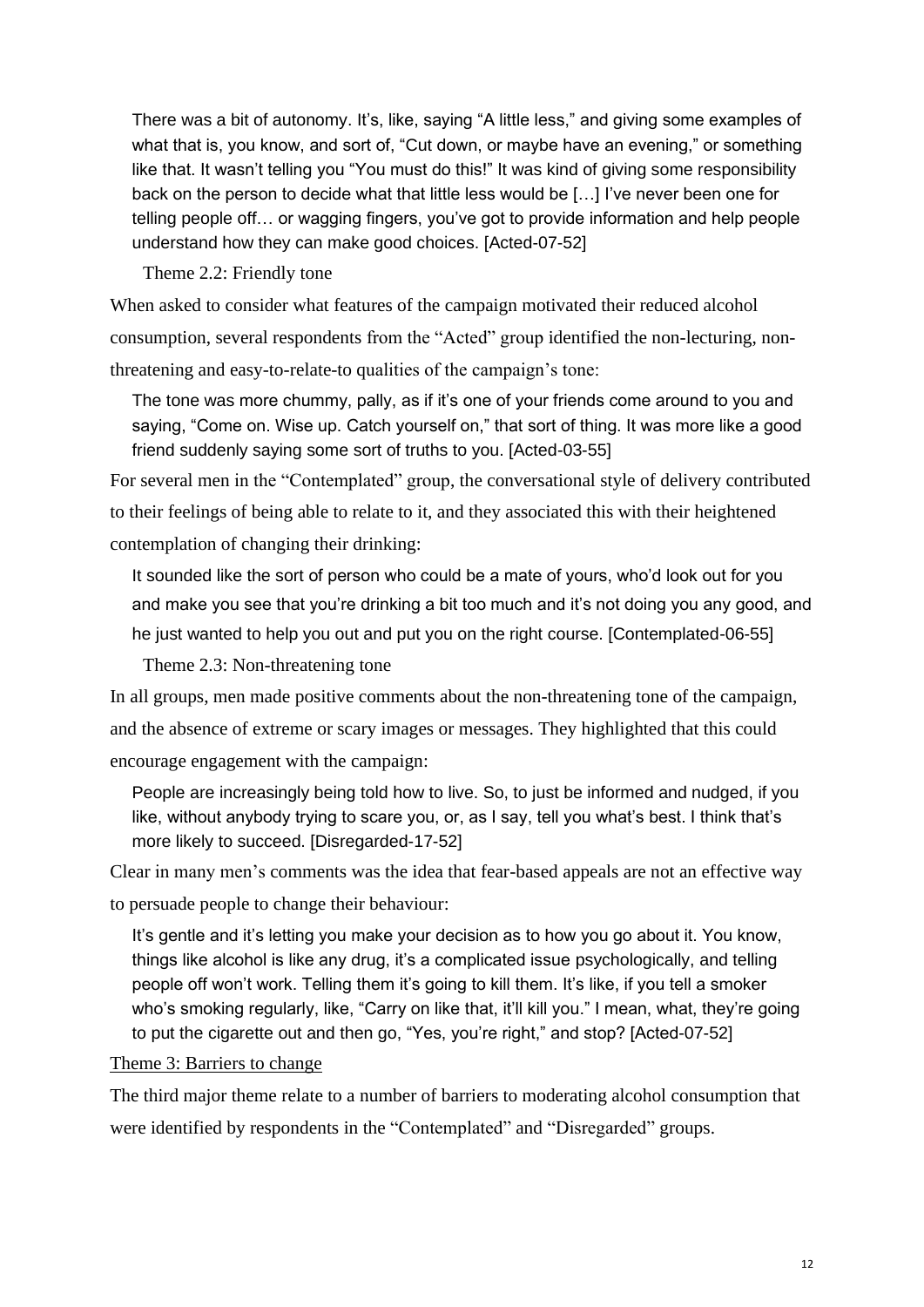There was a bit of autonomy. It's, like, saying "A little less," and giving some examples of what that is, you know, and sort of, "Cut down, or maybe have an evening," or something like that. It wasn't telling you "You must do this!" It was kind of giving some responsibility back on the person to decide what that little less would be […] I've never been one for telling people off… or wagging fingers, you've got to provide information and help people understand how they can make good choices. [Acted-07-52]

Theme 2.2: Friendly tone

When asked to consider what features of the campaign motivated their reduced alcohol consumption, several respondents from the "Acted" group identified the non-lecturing, nonthreatening and easy-to-relate-to qualities of the campaign's tone:

The tone was more chummy, pally, as if it's one of your friends come around to you and saying, "Come on. Wise up. Catch yourself on," that sort of thing. It was more like a good friend suddenly saying some sort of truths to you. [Acted-03-55]

For several men in the "Contemplated" group, the conversational style of delivery contributed to their feelings of being able to relate to it, and they associated this with their heightened contemplation of changing their drinking:

It sounded like the sort of person who could be a mate of yours, who'd look out for you and make you see that you're drinking a bit too much and it's not doing you any good, and he just wanted to help you out and put you on the right course. [Contemplated-06-55]

Theme 2.3: Non-threatening tone

In all groups, men made positive comments about the non-threatening tone of the campaign, and the absence of extreme or scary images or messages. They highlighted that this could encourage engagement with the campaign:

People are increasingly being told how to live. So, to just be informed and nudged, if you like, without anybody trying to scare you, or, as I say, tell you what's best. I think that's more likely to succeed. [Disregarded-17-52]

Clear in many men's comments was the idea that fear-based appeals are not an effective way

to persuade people to change their behaviour:

It's gentle and it's letting you make your decision as to how you go about it. You know, things like alcohol is like any drug, it's a complicated issue psychologically, and telling people off won't work. Telling them it's going to kill them. It's like, if you tell a smoker who's smoking regularly, like, "Carry on like that, it'll kill you." I mean, what, they're going to put the cigarette out and then go, "Yes, you're right," and stop? [Acted-07-52]

Theme 3: Barriers to change

The third major theme relate to a number of barriers to moderating alcohol consumption that were identified by respondents in the "Contemplated" and "Disregarded" groups.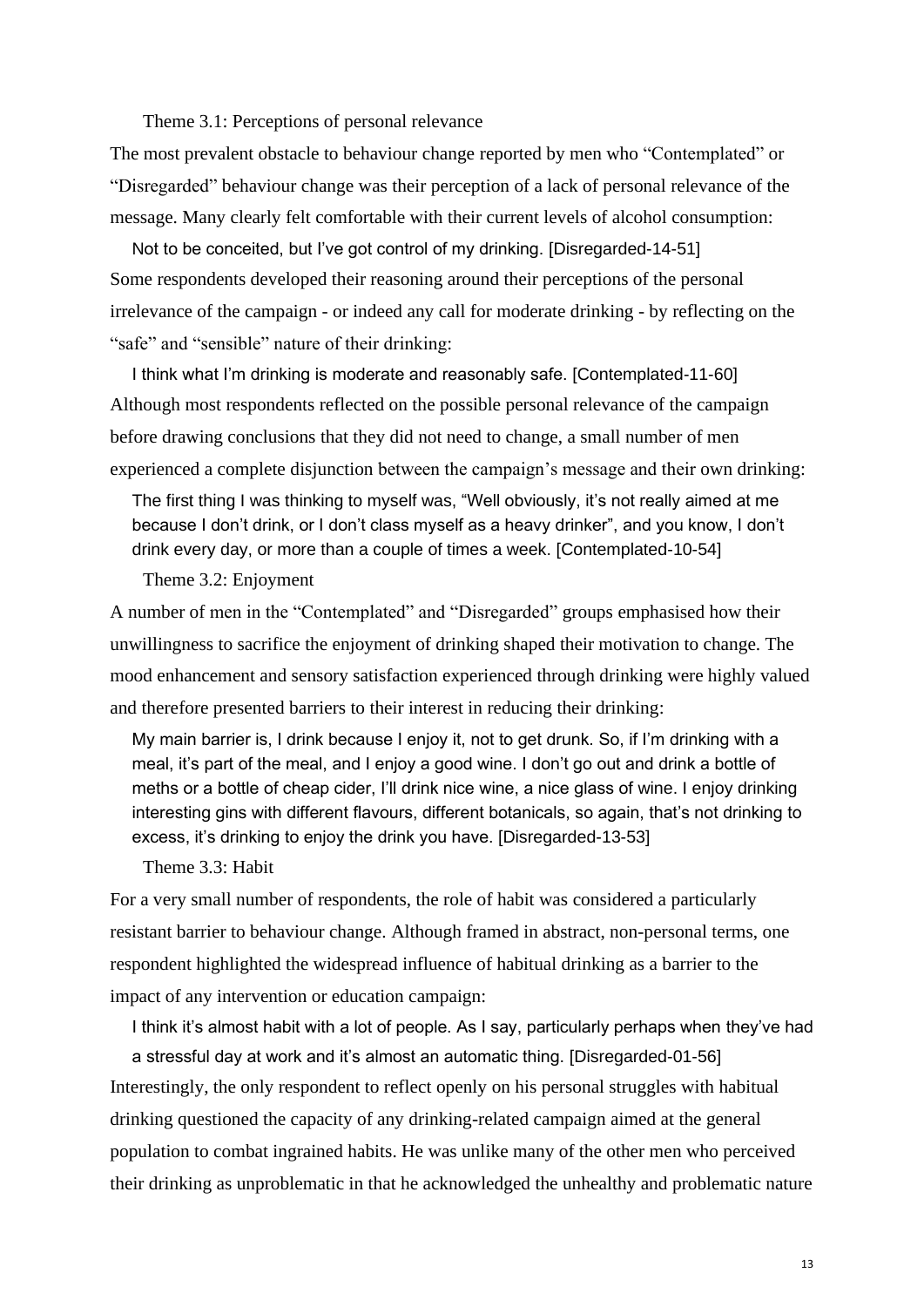Theme 3.1: Perceptions of personal relevance

The most prevalent obstacle to behaviour change reported by men who "Contemplated" or "Disregarded" behaviour change was their perception of a lack of personal relevance of the message. Many clearly felt comfortable with their current levels of alcohol consumption:

Not to be conceited, but I've got control of my drinking. [Disregarded-14-51] Some respondents developed their reasoning around their perceptions of the personal irrelevance of the campaign - or indeed any call for moderate drinking - by reflecting on the "safe" and "sensible" nature of their drinking:

I think what I'm drinking is moderate and reasonably safe. [Contemplated-11-60] Although most respondents reflected on the possible personal relevance of the campaign before drawing conclusions that they did not need to change, a small number of men experienced a complete disjunction between the campaign's message and their own drinking:

The first thing I was thinking to myself was, "Well obviously, it's not really aimed at me because I don't drink, or I don't class myself as a heavy drinker", and you know, I don't drink every day, or more than a couple of times a week. [Contemplated-10-54]

Theme 3.2: Enjoyment

A number of men in the "Contemplated" and "Disregarded" groups emphasised how their unwillingness to sacrifice the enjoyment of drinking shaped their motivation to change. The mood enhancement and sensory satisfaction experienced through drinking were highly valued and therefore presented barriers to their interest in reducing their drinking:

My main barrier is, I drink because I enjoy it, not to get drunk. So, if I'm drinking with a meal, it's part of the meal, and I enjoy a good wine. I don't go out and drink a bottle of meths or a bottle of cheap cider, I'll drink nice wine, a nice glass of wine. I enjoy drinking interesting gins with different flavours, different botanicals, so again, that's not drinking to excess, it's drinking to enjoy the drink you have. [Disregarded-13-53]

Theme 3.3: Habit

For a very small number of respondents, the role of habit was considered a particularly resistant barrier to behaviour change. Although framed in abstract, non-personal terms, one respondent highlighted the widespread influence of habitual drinking as a barrier to the impact of any intervention or education campaign:

I think it's almost habit with a lot of people. As I say, particularly perhaps when they've had

a stressful day at work and it's almost an automatic thing. [Disregarded-01-56] Interestingly, the only respondent to reflect openly on his personal struggles with habitual drinking questioned the capacity of any drinking-related campaign aimed at the general population to combat ingrained habits. He was unlike many of the other men who perceived their drinking as unproblematic in that he acknowledged the unhealthy and problematic nature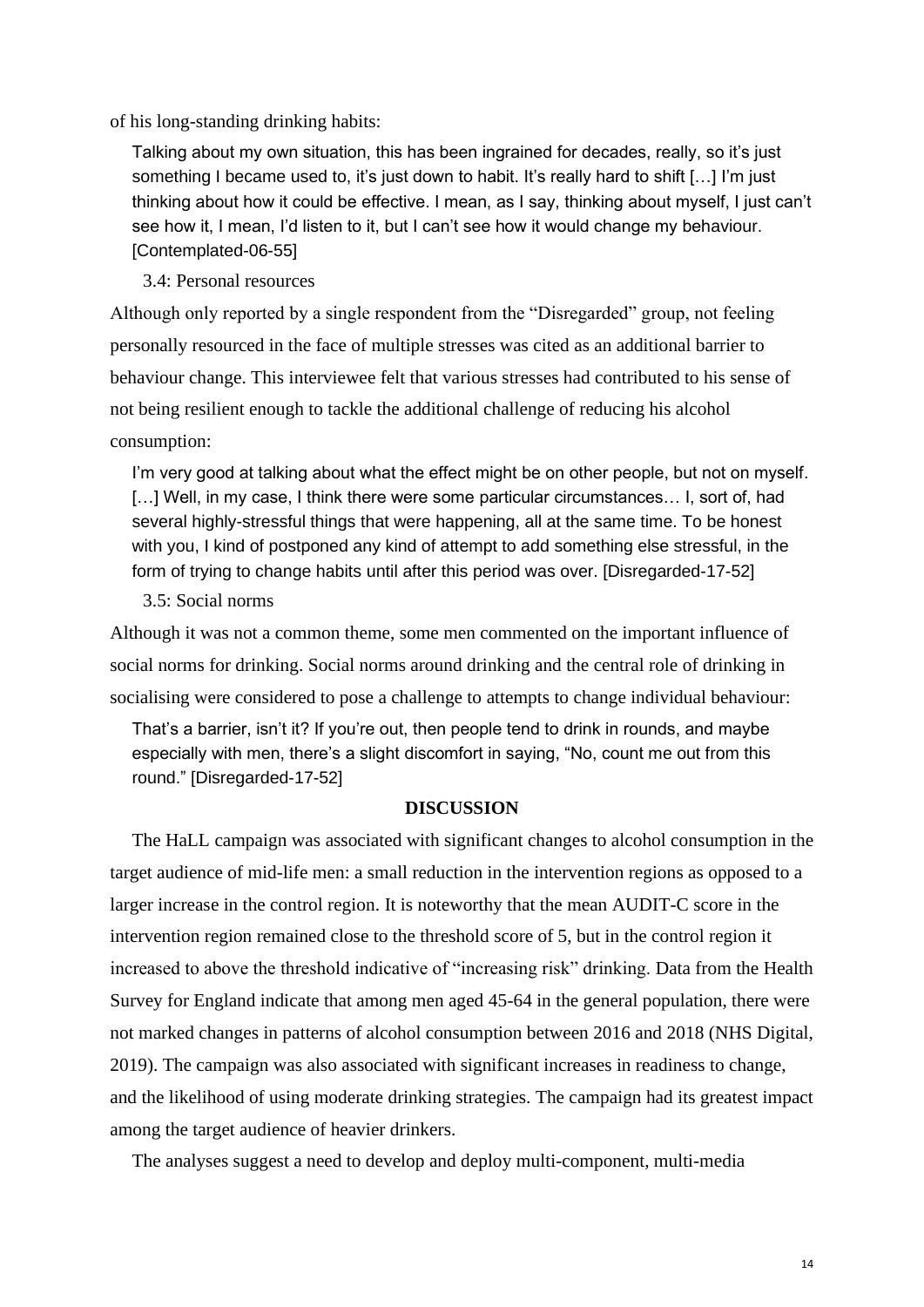of his long-standing drinking habits:

Talking about my own situation, this has been ingrained for decades, really, so it's just something I became used to, it's just down to habit. It's really hard to shift [...] I'm just thinking about how it could be effective. I mean, as I say, thinking about myself, I just can't see how it, I mean, I'd listen to it, but I can't see how it would change my behaviour. [Contemplated-06-55]

3.4: Personal resources

Although only reported by a single respondent from the "Disregarded" group, not feeling personally resourced in the face of multiple stresses was cited as an additional barrier to behaviour change. This interviewee felt that various stresses had contributed to his sense of not being resilient enough to tackle the additional challenge of reducing his alcohol consumption:

I'm very good at talking about what the effect might be on other people, but not on myself. [...] Well, in my case, I think there were some particular circumstances... I, sort of, had several highly-stressful things that were happening, all at the same time. To be honest with you, I kind of postponed any kind of attempt to add something else stressful, in the form of trying to change habits until after this period was over. [Disregarded-17-52]

3.5: Social norms

Although it was not a common theme, some men commented on the important influence of social norms for drinking. Social norms around drinking and the central role of drinking in socialising were considered to pose a challenge to attempts to change individual behaviour:

That's a barrier, isn't it? If you're out, then people tend to drink in rounds, and maybe especially with men, there's a slight discomfort in saying, "No, count me out from this round." [Disregarded-17-52]

## **DISCUSSION**

The HaLL campaign was associated with significant changes to alcohol consumption in the target audience of mid-life men: a small reduction in the intervention regions as opposed to a larger increase in the control region. It is noteworthy that the mean AUDIT-C score in the intervention region remained close to the threshold score of 5, but in the control region it increased to above the threshold indicative of "increasing risk" drinking. Data from the Health Survey for England indicate that among men aged 45-64 in the general population, there were not marked changes in patterns of alcohol consumption between 2016 and 2018 (NHS Digital, 2019). The campaign was also associated with significant increases in readiness to change, and the likelihood of using moderate drinking strategies. The campaign had its greatest impact among the target audience of heavier drinkers.

The analyses suggest a need to develop and deploy multi-component, multi-media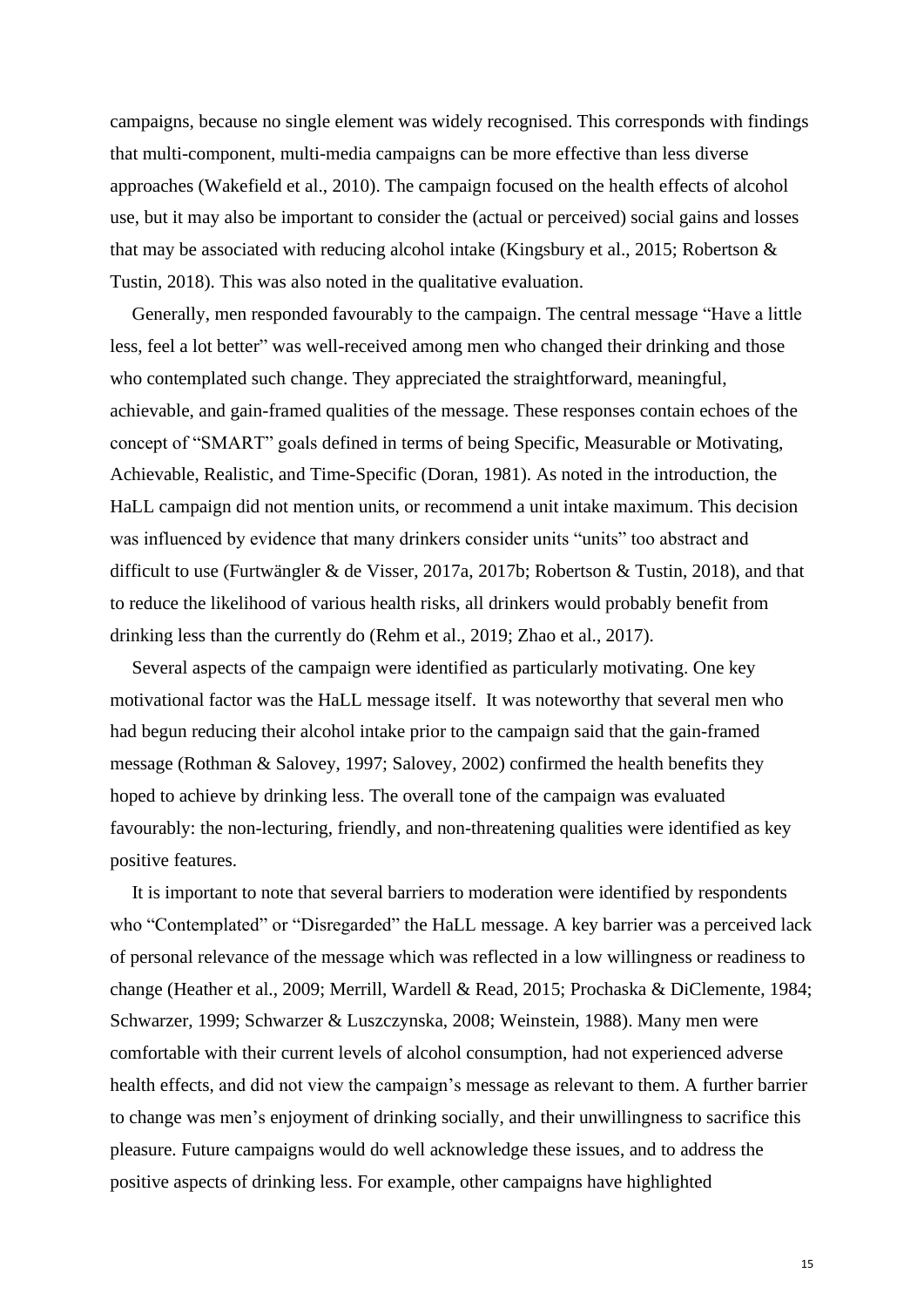campaigns, because no single element was widely recognised. This corresponds with findings that multi-component, multi-media campaigns can be more effective than less diverse approaches (Wakefield et al., 2010). The campaign focused on the health effects of alcohol use, but it may also be important to consider the (actual or perceived) social gains and losses that may be associated with reducing alcohol intake (Kingsbury et al., 2015; Robertson & Tustin, 2018). This was also noted in the qualitative evaluation.

Generally, men responded favourably to the campaign. The central message "Have a little less, feel a lot better" was well-received among men who changed their drinking and those who contemplated such change. They appreciated the straightforward, meaningful, achievable, and gain-framed qualities of the message. These responses contain echoes of the concept of "SMART" goals defined in terms of being Specific, Measurable or Motivating, Achievable, Realistic, and Time-Specific (Doran, 1981). As noted in the introduction, the HaLL campaign did not mention units, or recommend a unit intake maximum. This decision was influenced by evidence that many drinkers consider units "units" too abstract and difficult to use (Furtwängler & de Visser, 2017a, 2017b; Robertson & Tustin, 2018), and that to reduce the likelihood of various health risks, all drinkers would probably benefit from drinking less than the currently do (Rehm et al., 2019; Zhao et al., 2017).

Several aspects of the campaign were identified as particularly motivating. One key motivational factor was the HaLL message itself. It was noteworthy that several men who had begun reducing their alcohol intake prior to the campaign said that the gain-framed message (Rothman & Salovey, 1997; Salovey, 2002) confirmed the health benefits they hoped to achieve by drinking less. The overall tone of the campaign was evaluated favourably: the non-lecturing, friendly, and non-threatening qualities were identified as key positive features.

It is important to note that several barriers to moderation were identified by respondents who "Contemplated" or "Disregarded" the HaLL message. A key barrier was a perceived lack of personal relevance of the message which was reflected in a low willingness or readiness to change (Heather et al., 2009; Merrill, Wardell & Read, 2015; Prochaska & DiClemente, 1984; Schwarzer, 1999; Schwarzer & Luszczynska, 2008; Weinstein, 1988). Many men were comfortable with their current levels of alcohol consumption, had not experienced adverse health effects, and did not view the campaign's message as relevant to them. A further barrier to change was men's enjoyment of drinking socially, and their unwillingness to sacrifice this pleasure. Future campaigns would do well acknowledge these issues, and to address the positive aspects of drinking less. For example, other campaigns have highlighted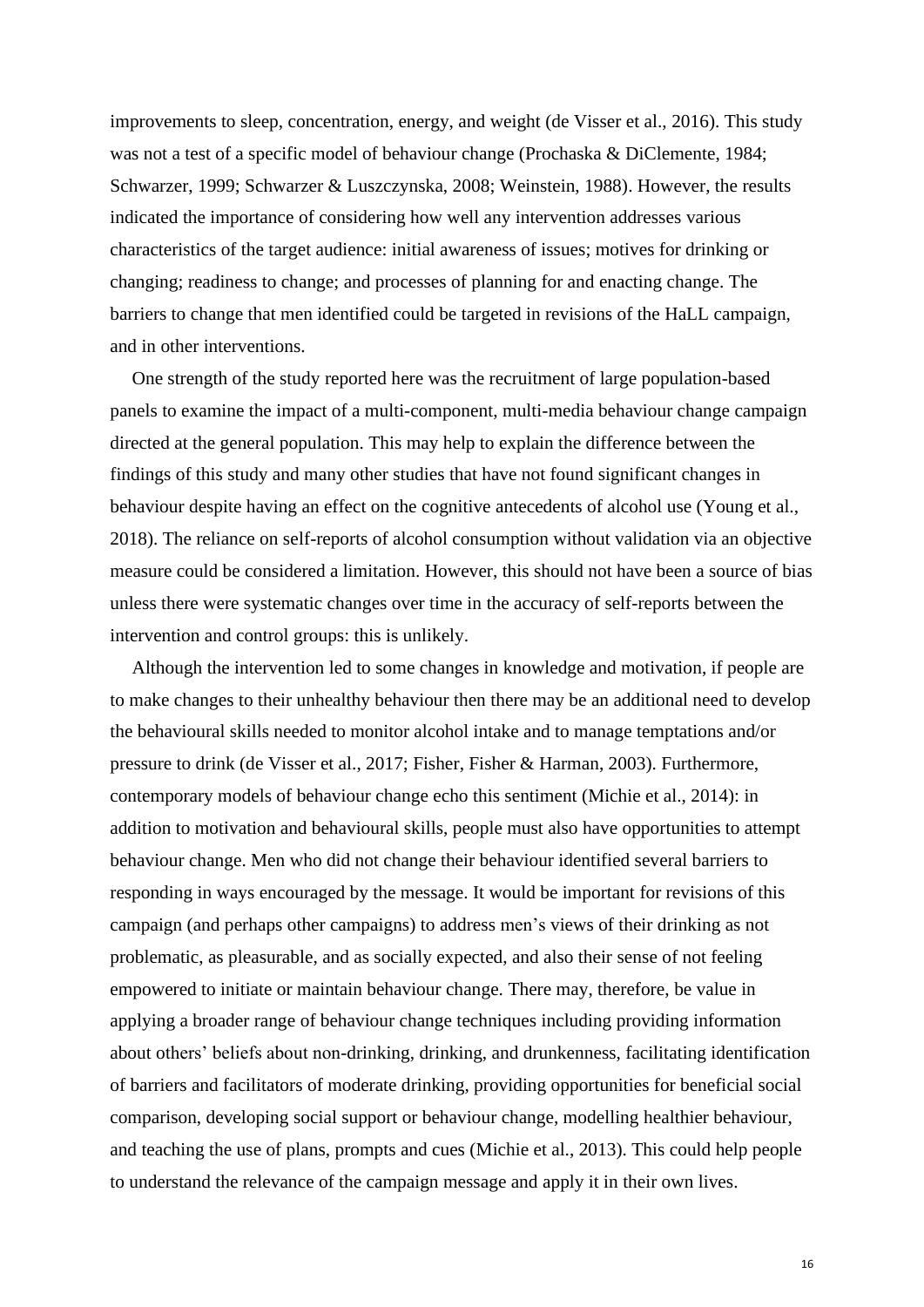improvements to sleep, concentration, energy, and weight (de Visser et al., 2016). This study was not a test of a specific model of behaviour change (Prochaska & DiClemente, 1984; Schwarzer, 1999; Schwarzer & Luszczynska, 2008; Weinstein, 1988). However, the results indicated the importance of considering how well any intervention addresses various characteristics of the target audience: initial awareness of issues; motives for drinking or changing; readiness to change; and processes of planning for and enacting change. The barriers to change that men identified could be targeted in revisions of the HaLL campaign, and in other interventions.

One strength of the study reported here was the recruitment of large population-based panels to examine the impact of a multi-component, multi-media behaviour change campaign directed at the general population. This may help to explain the difference between the findings of this study and many other studies that have not found significant changes in behaviour despite having an effect on the cognitive antecedents of alcohol use (Young et al., 2018). The reliance on self-reports of alcohol consumption without validation via an objective measure could be considered a limitation. However, this should not have been a source of bias unless there were systematic changes over time in the accuracy of self-reports between the intervention and control groups: this is unlikely.

Although the intervention led to some changes in knowledge and motivation, if people are to make changes to their unhealthy behaviour then there may be an additional need to develop the behavioural skills needed to monitor alcohol intake and to manage temptations and/or pressure to drink (de Visser et al., 2017; Fisher, Fisher & Harman, 2003). Furthermore, contemporary models of behaviour change echo this sentiment (Michie et al., 2014): in addition to motivation and behavioural skills, people must also have opportunities to attempt behaviour change. Men who did not change their behaviour identified several barriers to responding in ways encouraged by the message. It would be important for revisions of this campaign (and perhaps other campaigns) to address men's views of their drinking as not problematic, as pleasurable, and as socially expected, and also their sense of not feeling empowered to initiate or maintain behaviour change. There may, therefore, be value in applying a broader range of behaviour change techniques including providing information about others' beliefs about non-drinking, drinking, and drunkenness, facilitating identification of barriers and facilitators of moderate drinking, providing opportunities for beneficial social comparison, developing social support or behaviour change, modelling healthier behaviour, and teaching the use of plans, prompts and cues (Michie et al., 2013). This could help people to understand the relevance of the campaign message and apply it in their own lives.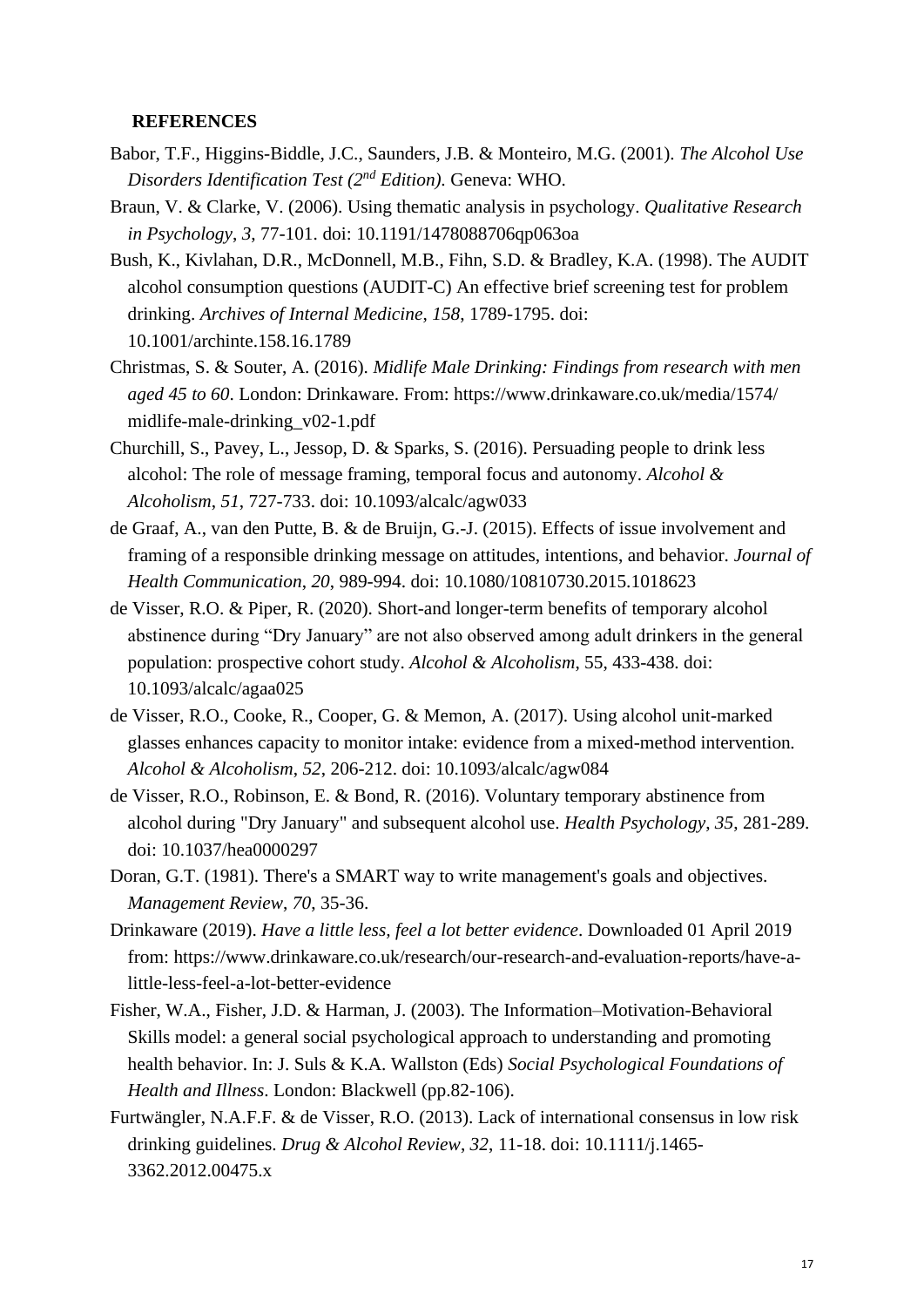#### **REFERENCES**

- Babor, T.F., Higgins-Biddle, J.C., Saunders, J.B. & Monteiro, M.G. (2001). *The Alcohol Use Disorders Identification Test (2nd Edition).* Geneva: WHO.
- Braun, V. & Clarke, V. (2006). Using thematic analysis in psychology. *Qualitative Research in Psychology*, *3*, 77-101. doi: 10.1191/1478088706qp063oa
- Bush, K., Kivlahan, D.R., McDonnell, M.B., Fihn, S.D. & Bradley, K.A. (1998). The AUDIT alcohol consumption questions (AUDIT-C) An effective brief screening test for problem drinking. *Archives of Internal Medicine*, *158*, 1789-1795. doi: 10.1001/archinte.158.16.1789
- Christmas, S. & Souter, A. (2016). *Midlife Male Drinking: Findings from research with men aged 45 to 60*. London: Drinkaware. From: https://www.drinkaware.co.uk/media/1574/ midlife-male-drinking\_v02-1.pdf
- Churchill, S., Pavey, L., Jessop, D. & Sparks, S. (2016). Persuading people to drink less alcohol: The role of message framing, temporal focus and autonomy. *Alcohol & Alcoholism*, *51*, 727-733. doi: 10.1093/alcalc/agw033
- de Graaf, A., van den Putte, B. & de Bruijn, G.-J. (2015). Effects of issue involvement and framing of a responsible drinking message on attitudes, intentions, and behavior. *Journal of Health Communication*, *20*, 989-994. doi: 10.1080/10810730.2015.1018623
- de Visser, R.O. & Piper, R. (2020). Short-and longer-term benefits of temporary alcohol abstinence during "Dry January" are not also observed among adult drinkers in the general population: prospective cohort study. *Alcohol & Alcoholism*, 55, 433-438. doi: 10.1093/alcalc/agaa025
- de Visser, R.O., Cooke, R., Cooper, G. & Memon, A. (2017). Using alcohol unit-marked glasses enhances capacity to monitor intake: evidence from a mixed-method intervention*. Alcohol & Alcoholism*, *52*, 206-212. doi: 10.1093/alcalc/agw084
- de Visser, R.O., Robinson, E. & Bond, R. (2016). Voluntary temporary abstinence from alcohol during "Dry January" and subsequent alcohol use. *Health Psychology*, *35*, 281-289. doi: 10.1037/hea0000297
- Doran, G.T. (1981). There's a SMART way to write management's goals and objectives. *Management Review*, *70*, 35-36.
- Drinkaware (2019). *Have a little less, feel a lot better evidence*. Downloaded 01 April 2019 from: https://www.drinkaware.co.uk/research/our-research-and-evaluation-reports/have-alittle-less-feel-a-lot-better-evidence
- Fisher, W.A., Fisher, J.D. & Harman, J. (2003). The Information–Motivation-Behavioral Skills model: a general social psychological approach to understanding and promoting health behavior. In: J. Suls & K.A. Wallston (Eds) *Social Psychological Foundations of Health and Illness*. London: Blackwell (pp.82-106).
- Furtwängler, N.A.F.F. & de Visser, R.O. (2013). Lack of international consensus in low risk drinking guidelines. *Drug & Alcohol Review*, *32*, 11-18. doi: 10.1111/j.1465- 3362.2012.00475.x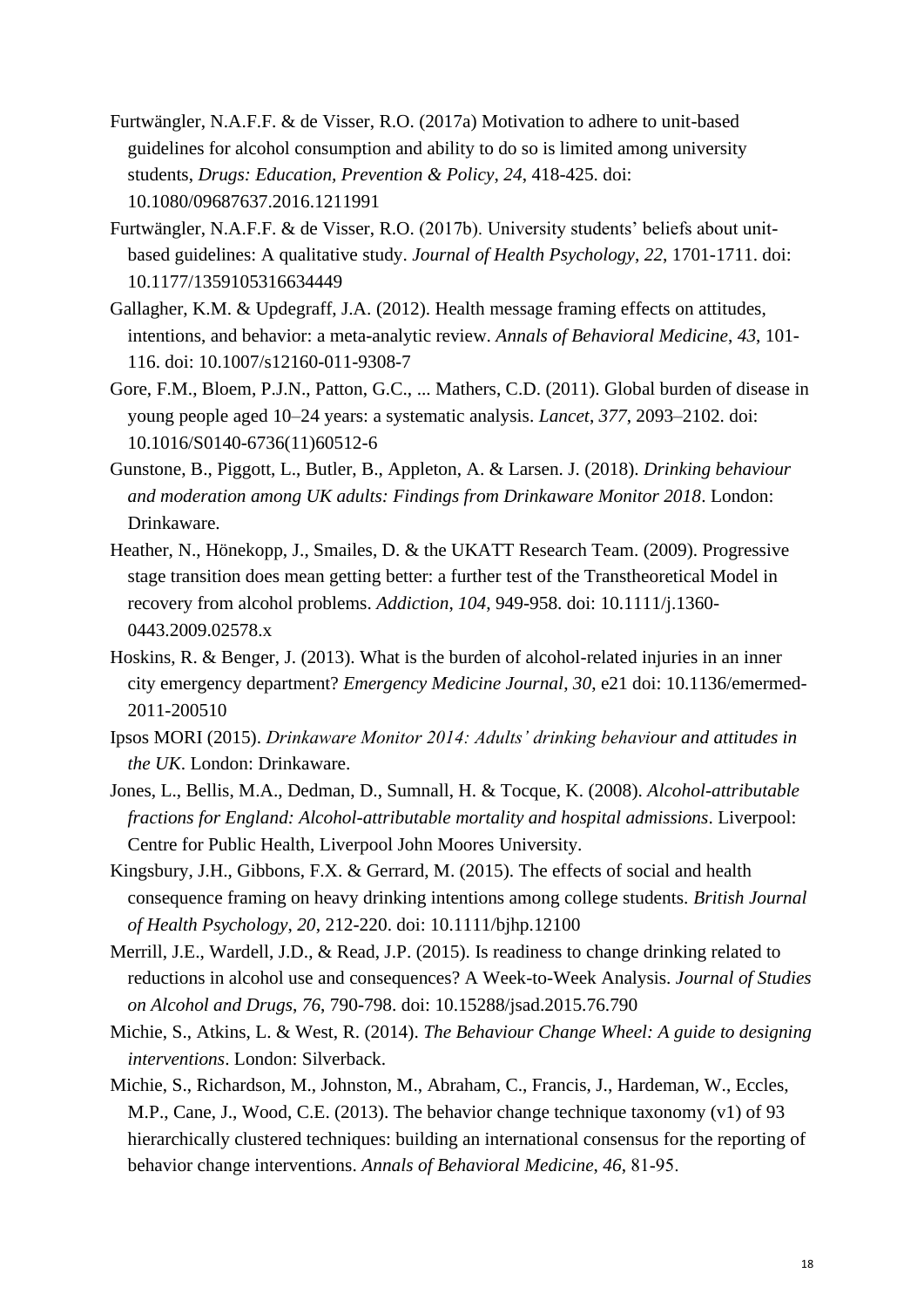- Furtwängler, N.A.F.F. & de Visser, R.O. (2017a) Motivation to adhere to unit-based guidelines for alcohol consumption and ability to do so is limited among university students, *Drugs: Education, Prevention & Policy*, *24*, 418-425. doi: 10.1080/09687637.2016.1211991
- Furtwängler, N.A.F.F. & de Visser, R.O. (2017b). University students' beliefs about unitbased guidelines: A qualitative study. *Journal of Health Psychology*, *22*, 1701-1711. [doi:](https://doi.org/10.1177/1359105316634449)  [10.1177/1359105316634449](https://doi.org/10.1177/1359105316634449)
- Gallagher, K.M. & Updegraff, J.A. (2012). Health message framing effects on attitudes, intentions, and behavior: a meta-analytic review. *Annals of Behavioral Medicine*, *43*, 101- 116. doi: 10.1007/s12160-011-9308-7
- Gore, F.M., Bloem, P.J.N., Patton, G.C., ... Mathers, C.D. (2011). Global burden of disease in young people aged 10–24 years: a systematic analysis. *Lancet*, *377*, 2093–2102. doi: 10.1016/S0140-6736(11)60512-6
- Gunstone, B., Piggott, L., Butler, B., Appleton, A. & Larsen. J. (2018). *Drinking behaviour and moderation among UK adults: Findings from Drinkaware Monitor 2018*. London: Drinkaware.
- Heather, N., Hönekopp, J., Smailes, D. & the UKATT Research Team. (2009). Progressive stage transition does mean getting better: a further test of the Transtheoretical Model in recovery from alcohol problems. *Addiction*, *104*, 949-958. doi: 10.1111/j.1360- 0443.2009.02578.x
- Hoskins, R. & Benger, J. (2013). What is the burden of alcohol-related injuries in an inner city emergency department? *Emergency Medicine Journal*, *30*, e21 doi: 10.1136/emermed-2011-200510
- Ipsos MORI (2015). *Drinkaware Monitor 2014: Adults' drinking behaviour and attitudes in the UK*. London: Drinkaware.
- Jones, L., Bellis, M.A., Dedman, D., Sumnall, H. & Tocque, K. (2008). *Alcohol-attributable fractions for England: Alcohol-attributable mortality and hospital admissions*. Liverpool: Centre for Public Health, Liverpool John Moores University.
- Kingsbury, J.H., Gibbons, F.X. & Gerrard, M. (2015). The effects of social and health consequence framing on heavy drinking intentions among college students. *British Journal of Health Psychology*, *20*, 212-220. doi: 10.1111/bjhp.12100
- Merrill, J.E., Wardell, J.D., & Read, J.P. (2015). Is readiness to change drinking related to reductions in alcohol use and consequences? A Week-to-Week Analysis. *Journal of Studies on Alcohol and Drugs*, *76*, 790-798. doi: 10.15288/jsad.2015.76.790
- Michie, S., Atkins, L. & West, R. (2014). *The Behaviour Change Wheel: A guide to designing interventions*. London: Silverback.
- Michie, S., Richardson, M., Johnston, M., Abraham, C., Francis, J., Hardeman, W., Eccles, M.P., Cane, J., Wood, C.E. (2013). The behavior change technique taxonomy (v1) of 93 hierarchically clustered techniques: building an international consensus for the reporting of behavior change interventions. *Annals of Behavioral Medicine*, *46*, 81‐95.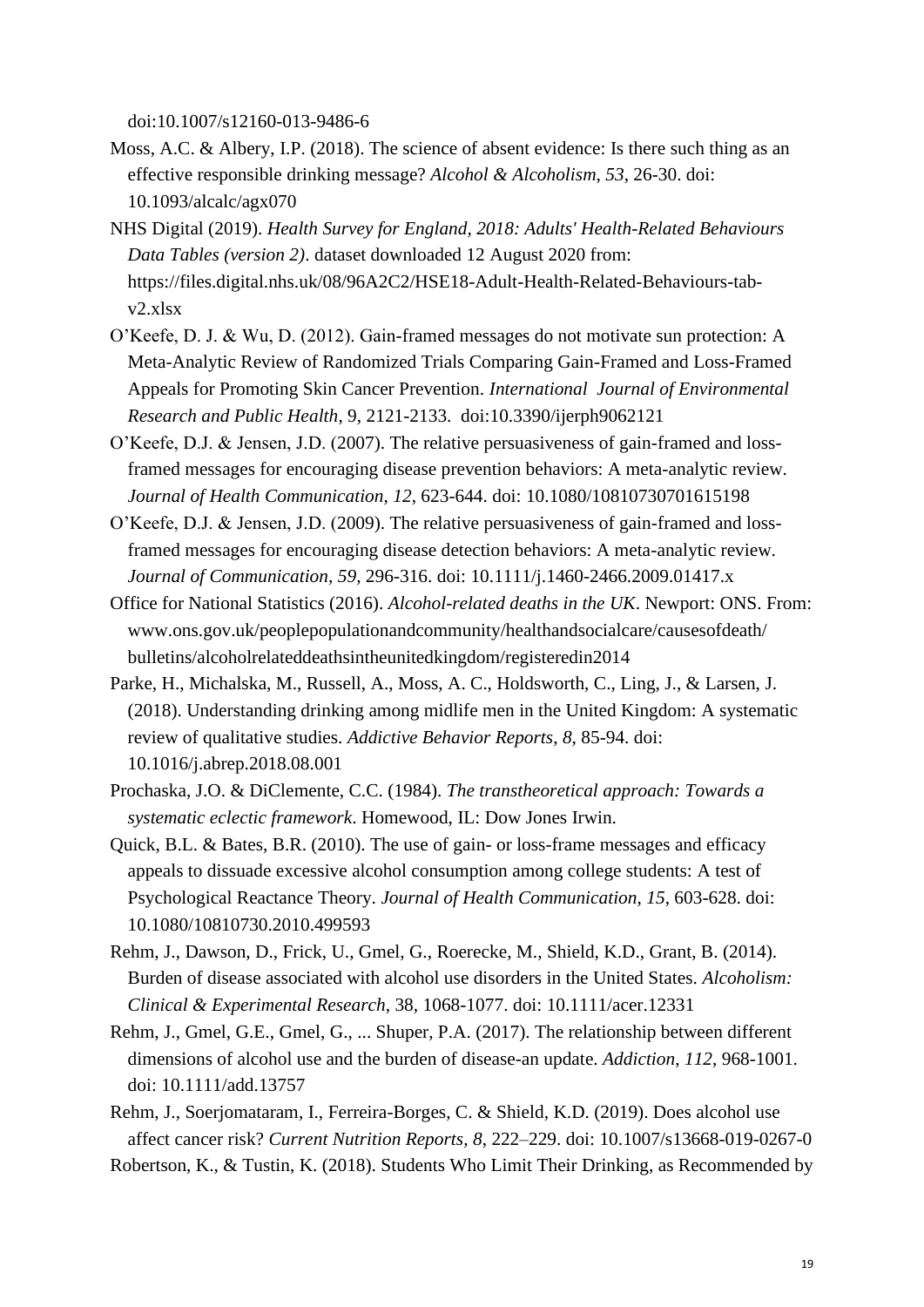doi:10.1007/s12160-013-9486-6

- Moss, A.C. & Albery, I.P. (2018). The science of absent evidence: Is there such thing as an effective responsible drinking message? *Alcohol & Alcoholism*, *53*, 26-30. doi: 10.1093/alcalc/agx070
- NHS Digital (2019). *Health Survey for England, 2018: Adults' Health-Related Behaviours Data Tables (version 2)*. dataset downloaded 12 August 2020 from: https://files.digital.nhs.uk/08/96A2C2/HSE18-Adult-Health-Related-Behaviours-tabv2.xlsx
- O'Keefe, D. J. & Wu, D. (2012). Gain-framed messages do not motivate sun protection: A Meta-Analytic Review of Randomized Trials Comparing Gain-Framed and Loss-Framed Appeals for Promoting Skin Cancer Prevention. *International Journal of Environmental Research and Public Health*, 9, 2121-2133. doi:10.3390/ijerph9062121
- O'Keefe, D.J. & Jensen, J.D. (2007). The relative persuasiveness of gain-framed and lossframed messages for encouraging disease prevention behaviors: A meta-analytic review. *Journal of Health Communication*, *12*, 623-644. doi: 10.1080/10810730701615198
- O'Keefe, D.J. & Jensen, J.D. (2009). The relative persuasiveness of gain-framed and lossframed messages for encouraging disease detection behaviors: A meta-analytic review. *Journal of Communication*, *59*, 296-316. doi: 10.1111/j.1460-2466.2009.01417.x
- Office for National Statistics (2016). *Alcohol-related deaths in the UK*. Newport: ONS. From: www.ons.gov.uk/peoplepopulationandcommunity/healthandsocialcare/causesofdeath/ bulletins/alcoholrelateddeathsintheunitedkingdom/registeredin2014
- Parke, H., Michalska, M., Russell, A., Moss, A. C., Holdsworth, C., Ling, J., & Larsen, J. (2018). Understanding drinking among midlife men in the United Kingdom: A systematic review of qualitative studies. *Addictive Behavior Reports*, *8*, 85-94. doi: 10.1016/j.abrep.2018.08.001
- Prochaska, J.O. & DiClemente, C.C. (1984). *The transtheoretical approach: Towards a systematic eclectic framework*. Homewood, IL: Dow Jones Irwin.
- Quick, B.L. & Bates, B.R. (2010). The use of gain- or loss-frame messages and efficacy appeals to dissuade excessive alcohol consumption among college students: A test of Psychological Reactance Theory. *Journal of Health Communication*, *15*, 603-628. doi: 10.1080/10810730.2010.499593
- Rehm, J., Dawson, D., Frick, U., Gmel, G., Roerecke, M., Shield, K.D., Grant, B. (2014). Burden of disease associated with alcohol use disorders in the United States. *Alcoholism: Clinical & Experimental Research*, 38, 1068-1077. doi: 10.1111/acer.12331
- Rehm, J., Gmel, G.E., Gmel, G., ... Shuper, P.A. (2017). The relationship between different dimensions of alcohol use and the burden of disease-an update. *Addiction*, *112*, 968-1001. doi: 10.1111/add.13757

Rehm, J., Soerjomataram, I., Ferreira-Borges, C. & Shield, K.D. (2019). Does alcohol use affect cancer risk? *Current Nutrition Reports*, *8*, 222–229. doi: 10.1007/s13668-019-0267-0

Robertson, K., & Tustin, K. (2018). Students Who Limit Their Drinking, as Recommended by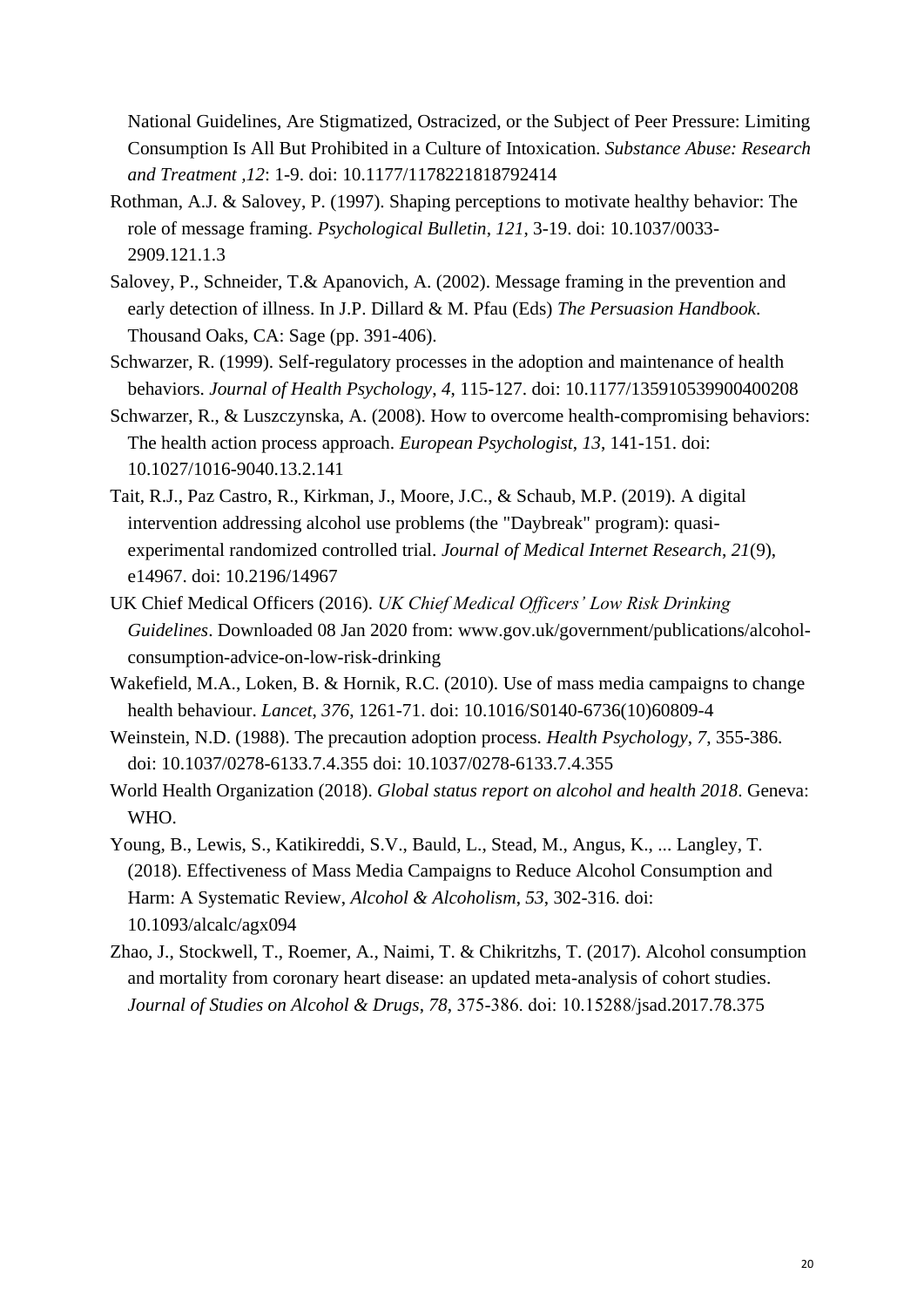National Guidelines, Are Stigmatized, Ostracized, or the Subject of Peer Pressure: Limiting Consumption Is All But Prohibited in a Culture of Intoxication. *Substance Abuse: Research and Treatment ,12*: 1-9. doi: [10.1177/1178221818792414](https://doi.org/10.1177/1178221818792414)

- Rothman, A.J. & Salovey, P. (1997). Shaping perceptions to motivate healthy behavior: The role of message framing. *Psychological Bulletin*, *121*, 3-19. doi: 10.1037/0033- 2909.121.1.3
- Salovey, P., Schneider, T.& Apanovich, A. (2002). Message framing in the prevention and early detection of illness. In J.P. Dillard & M. Pfau (Eds) *The Persuasion Handbook*. Thousand Oaks, CA: Sage (pp. 391-406).
- Schwarzer, R. (1999). Self-regulatory processes in the adoption and maintenance of health behaviors. *Journal of Health Psychology*, *4*, 115-127. doi: 10.1177/135910539900400208
- Schwarzer, R., & Luszczynska, A. (2008). How to overcome health-compromising behaviors: The health action process approach. *European Psychologist*, *13*, 141-151. doi: 10.1027/1016-9040.13.2.141
- Tait, R.J., Paz Castro, R., Kirkman, J., Moore, J.C., & Schaub, M.P. (2019). A digital intervention addressing alcohol use problems (the "Daybreak" program): quasiexperimental randomized controlled trial. *Journal of Medical Internet Research*, *21*(9), e14967. doi: 10.2196/14967
- UK Chief Medical Officers (2016). *UK Chief Medical Officers' Low Risk Drinking Guidelines*. Downloaded 08 Jan 2020 from: www.gov.uk/government/publications/alcoholconsumption-advice-on-low-risk-drinking
- Wakefield, M.A., Loken, B. & Hornik, R.C. (2010). Use of mass media campaigns to change health behaviour. *Lancet*, *376*, 1261-71. doi: 10.1016/S0140-6736(10)60809-4
- Weinstein, N.D. (1988). The precaution adoption process. *Health Psychology*, *7*, 355-386. doi: 10.1037/0278-6133.7.4.355 doi: 10.1037/0278-6133.7.4.355
- World Health Organization (2018). *Global status report on alcohol and health 2018*. Geneva: WHO.
- Young, B., Lewis, S., Katikireddi, S.V., Bauld, L., Stead, M., Angus, K., ... Langley, T. (2018). Effectiveness of Mass Media Campaigns to Reduce Alcohol Consumption and Harm: A Systematic Review, *Alcohol & Alcoholism*, *53*, 302-316. doi: 10.1093/alcalc/agx094
- Zhao, J., Stockwell, T., Roemer, A., Naimi, T. & Chikritzhs, T. (2017). Alcohol consumption and mortality from coronary heart disease: an updated meta-analysis of cohort studies. *Journal of Studies on Alcohol & Drugs*, *78*, 375‐386. doi: 10.15288/jsad.2017.78.375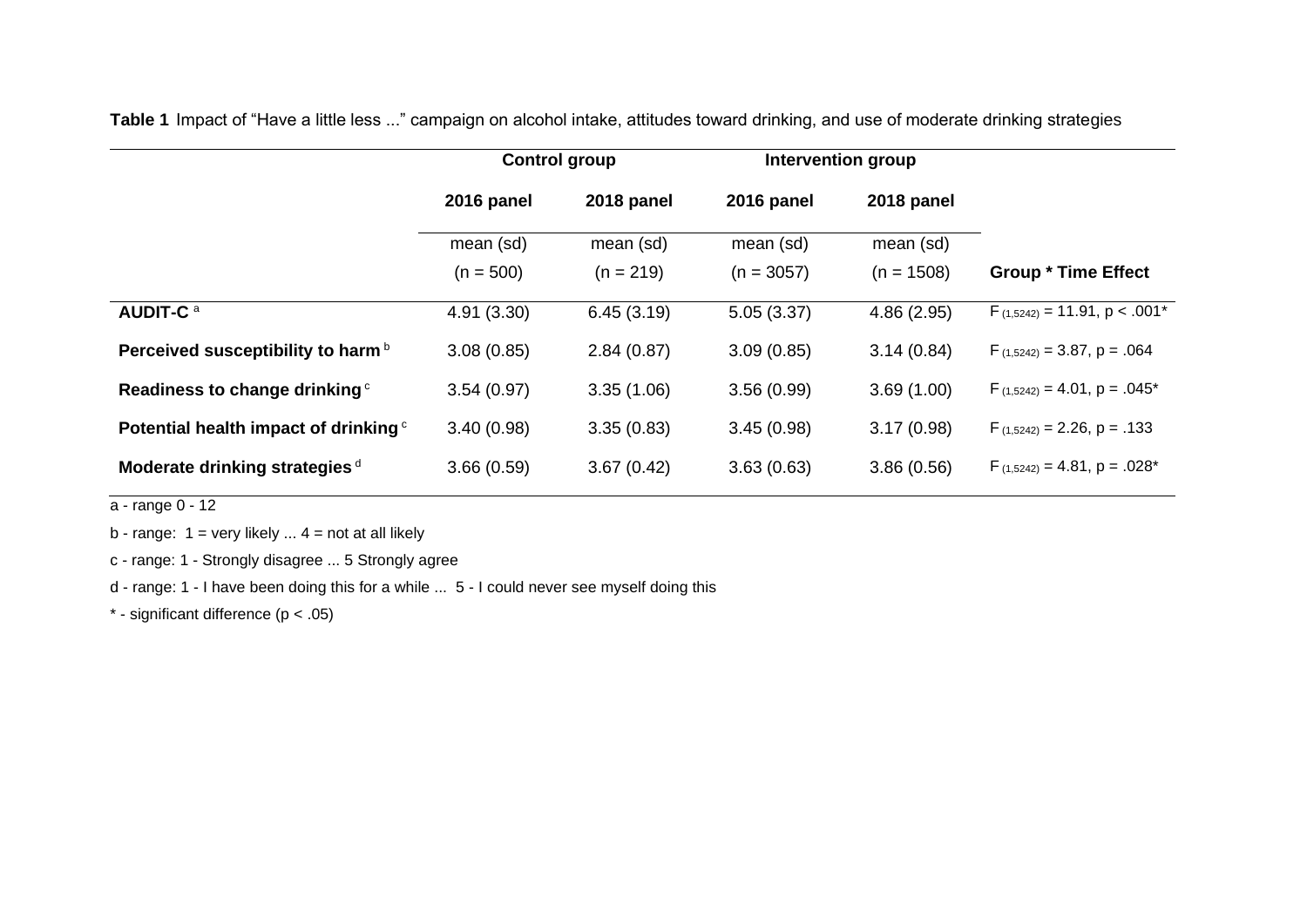|                                               | <b>Control group</b> |             | Intervention group |              |                                    |
|-----------------------------------------------|----------------------|-------------|--------------------|--------------|------------------------------------|
|                                               | 2016 panel           | 2018 panel  | 2016 panel         | 2018 panel   |                                    |
|                                               | mean (sd)            | mean (sd)   | mean (sd)          | mean (sd)    |                                    |
|                                               | $(n = 500)$          | $(n = 219)$ | $(n = 3057)$       | $(n = 1508)$ | <b>Group * Time Effect</b>         |
| AUDIT-C <sup>a</sup>                          | 4.91(3.30)           | 6.45(3.19)  | 5.05(3.37)         | 4.86(2.95)   | $F_{(1,5242)} = 11.91$ , p < .001* |
| Perceived susceptibility to harm <sup>b</sup> | 3.08(0.85)           | 2.84(0.87)  | 3.09(0.85)         | 3.14(0.84)   | $F_{(1,5242)} = 3.87, p = .064$    |
| Readiness to change drinking <sup>c</sup>     | 3.54(0.97)           | 3.35(1.06)  | 3.56(0.99)         | 3.69(1.00)   | $F_{(1,5242)} = 4.01$ , p = .045*  |
| Potential health impact of drinking c         | 3.40(0.98)           | 3.35(0.83)  | 3.45(0.98)         | 3.17(0.98)   | $F_{(1,5242)} = 2.26$ , p = .133   |
| Moderate drinking strategies <sup>d</sup>     | 3.66(0.59)           | 3.67(0.42)  | 3.63(0.63)         | 3.86(0.56)   | $F_{(1,5242)} = 4.81$ , p = .028*  |
|                                               |                      |             |                    |              |                                    |

**Table 1** Impact of "Have a little less ..." campaign on alcohol intake, attitudes toward drinking, and use of moderate drinking strategies

a - range 0 - 12

 $b$  - range:  $1 = \text{very likely} ... 4 = \text{not at all likely}$ 

c - range: 1 - Strongly disagree ... 5 Strongly agree

d - range: 1 - I have been doing this for a while ... 5 - I could never see myself doing this

 $*$  - significant difference ( $p < .05$ )